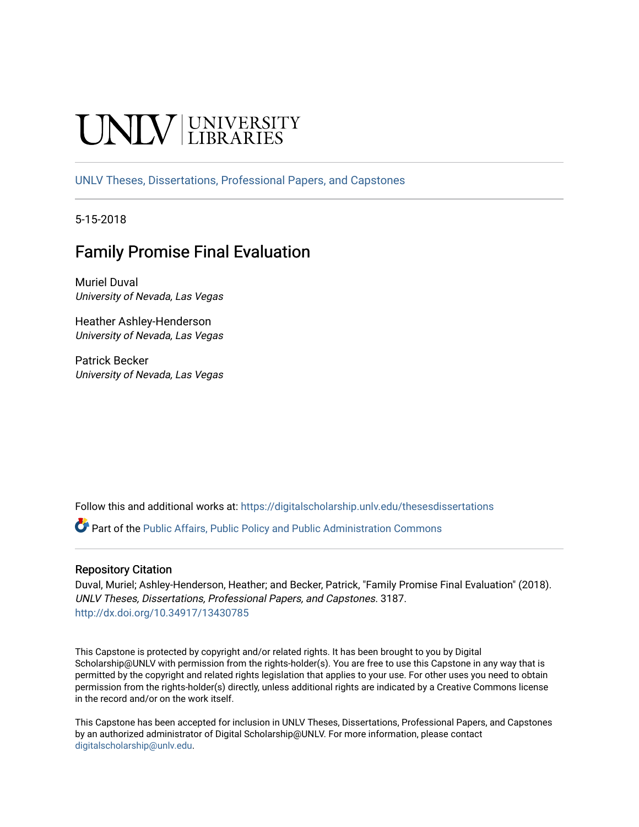# **INIVERSITY**

[UNLV Theses, Dissertations, Professional Papers, and Capstones](https://digitalscholarship.unlv.edu/thesesdissertations)

5-15-2018

# Family Promise Final Evaluation

Muriel Duval University of Nevada, Las Vegas

Heather Ashley-Henderson University of Nevada, Las Vegas

Patrick Becker University of Nevada, Las Vegas

Follow this and additional works at: [https://digitalscholarship.unlv.edu/thesesdissertations](https://digitalscholarship.unlv.edu/thesesdissertations?utm_source=digitalscholarship.unlv.edu%2Fthesesdissertations%2F3187&utm_medium=PDF&utm_campaign=PDFCoverPages)

Part of the [Public Affairs, Public Policy and Public Administration Commons](http://network.bepress.com/hgg/discipline/393?utm_source=digitalscholarship.unlv.edu%2Fthesesdissertations%2F3187&utm_medium=PDF&utm_campaign=PDFCoverPages) 

#### Repository Citation

Duval, Muriel; Ashley-Henderson, Heather; and Becker, Patrick, "Family Promise Final Evaluation" (2018). UNLV Theses, Dissertations, Professional Papers, and Capstones. 3187. <http://dx.doi.org/10.34917/13430785>

This Capstone is protected by copyright and/or related rights. It has been brought to you by Digital Scholarship@UNLV with permission from the rights-holder(s). You are free to use this Capstone in any way that is permitted by the copyright and related rights legislation that applies to your use. For other uses you need to obtain permission from the rights-holder(s) directly, unless additional rights are indicated by a Creative Commons license in the record and/or on the work itself.

This Capstone has been accepted for inclusion in UNLV Theses, Dissertations, Professional Papers, and Capstones by an authorized administrator of Digital Scholarship@UNLV. For more information, please contact [digitalscholarship@unlv.edu](mailto:digitalscholarship@unlv.edu).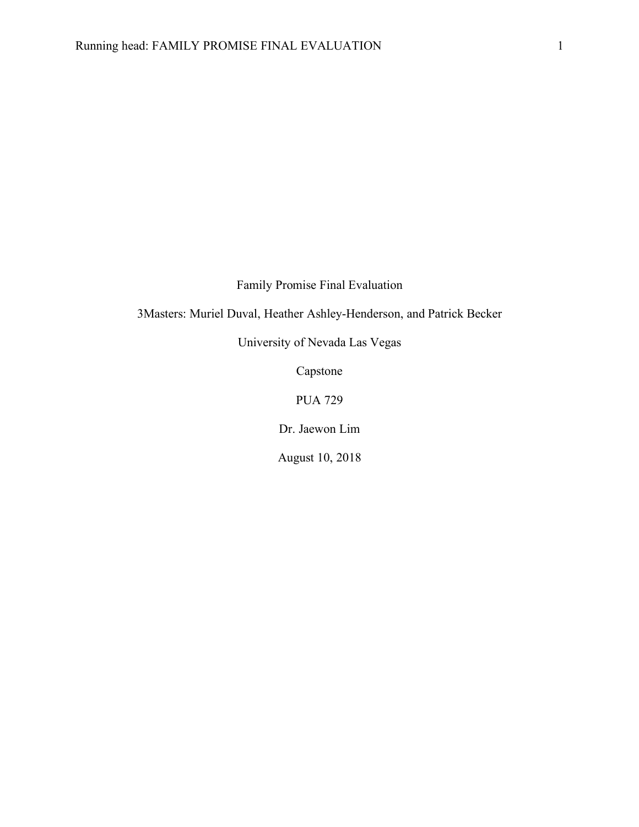Family Promise Final Evaluation

3Masters: Muriel Duval, Heather Ashley-Henderson, and Patrick Becker

University of Nevada Las Vegas

Capstone

PUA 729

Dr. Jaewon Lim

August 10, 2018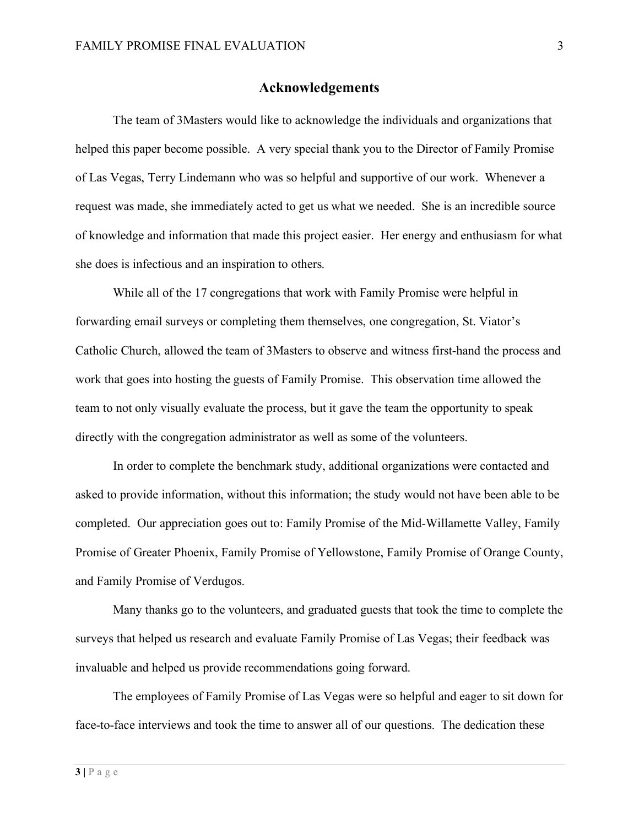#### **Acknowledgements**

The team of 3Masters would like to acknowledge the individuals and organizations that helped this paper become possible. A very special thank you to the Director of Family Promise of Las Vegas, Terry Lindemann who was so helpful and supportive of our work. Whenever a request was made, she immediately acted to get us what we needed. She is an incredible source of knowledge and information that made this project easier. Her energy and enthusiasm for what she does is infectious and an inspiration to others.

While all of the 17 congregations that work with Family Promise were helpful in forwarding email surveys or completing them themselves, one congregation, St. Viator's Catholic Church, allowed the team of 3Masters to observe and witness first-hand the process and work that goes into hosting the guests of Family Promise. This observation time allowed the team to not only visually evaluate the process, but it gave the team the opportunity to speak directly with the congregation administrator as well as some of the volunteers.

In order to complete the benchmark study, additional organizations were contacted and asked to provide information, without this information; the study would not have been able to be completed. Our appreciation goes out to: Family Promise of the Mid-Willamette Valley, Family Promise of Greater Phoenix, Family Promise of Yellowstone, Family Promise of Orange County, and Family Promise of Verdugos.

Many thanks go to the volunteers, and graduated guests that took the time to complete the surveys that helped us research and evaluate Family Promise of Las Vegas; their feedback was invaluable and helped us provide recommendations going forward.

The employees of Family Promise of Las Vegas were so helpful and eager to sit down for face-to-face interviews and took the time to answer all of our questions. The dedication these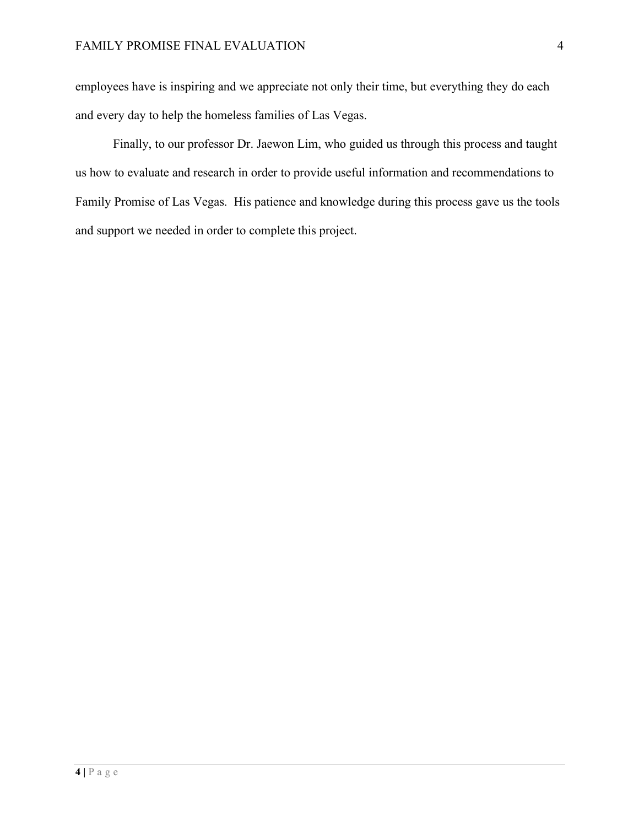employees have is inspiring and we appreciate not only their time, but everything they do each and every day to help the homeless families of Las Vegas.

Finally, to our professor Dr. Jaewon Lim, who guided us through this process and taught us how to evaluate and research in order to provide useful information and recommendations to Family Promise of Las Vegas. His patience and knowledge during this process gave us the tools and support we needed in order to complete this project.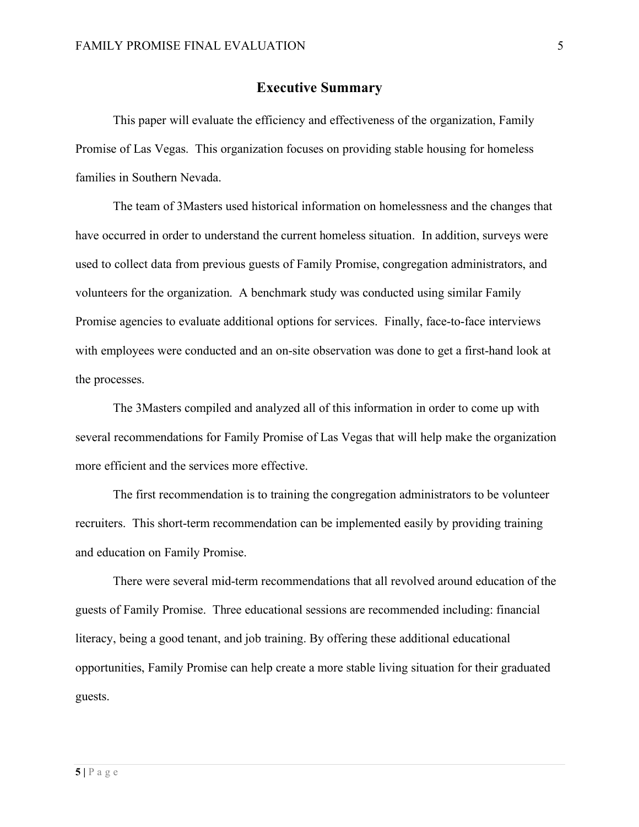#### **Executive Summary**

This paper will evaluate the efficiency and effectiveness of the organization, Family Promise of Las Vegas. This organization focuses on providing stable housing for homeless families in Southern Nevada.

The team of 3Masters used historical information on homelessness and the changes that have occurred in order to understand the current homeless situation. In addition, surveys were used to collect data from previous guests of Family Promise, congregation administrators, and volunteers for the organization. A benchmark study was conducted using similar Family Promise agencies to evaluate additional options for services. Finally, face-to-face interviews with employees were conducted and an on-site observation was done to get a first-hand look at the processes.

The 3Masters compiled and analyzed all of this information in order to come up with several recommendations for Family Promise of Las Vegas that will help make the organization more efficient and the services more effective.

The first recommendation is to training the congregation administrators to be volunteer recruiters. This short-term recommendation can be implemented easily by providing training and education on Family Promise.

There were several mid-term recommendations that all revolved around education of the guests of Family Promise. Three educational sessions are recommended including: financial literacy, being a good tenant, and job training. By offering these additional educational opportunities, Family Promise can help create a more stable living situation for their graduated guests.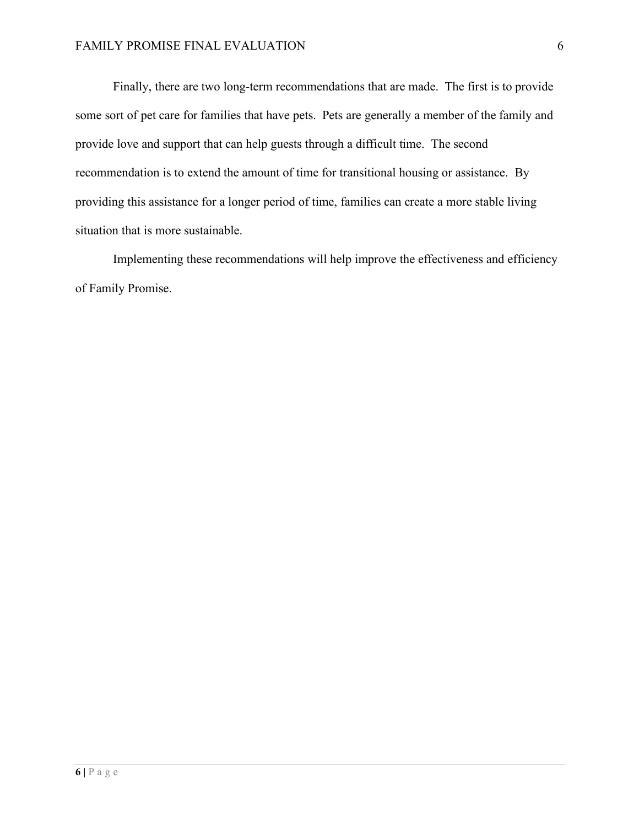Finally, there are two long-term recommendations that are made. The first is to provide some sort of pet care for families that have pets. Pets are generally a member of the family and provide love and support that can help guests through a difficult time. The second recommendation is to extend the amount of time for transitional housing or assistance. By providing this assistance for a longer period of time, families can create a more stable living situation that is more sustainable.

Implementing these recommendations will help improve the effectiveness and efficiency of Family Promise.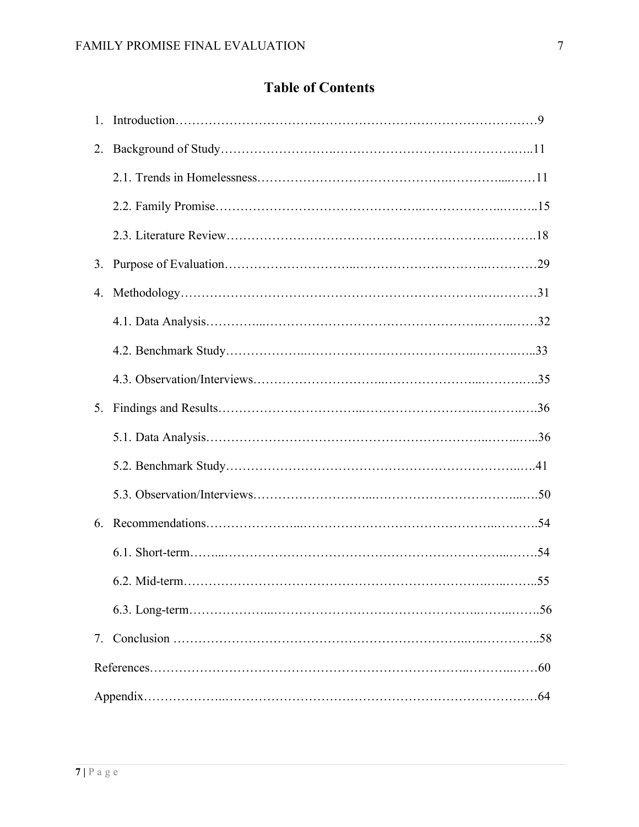# **Table of Contents**

| $1_{\cdot}$ |     |
|-------------|-----|
| 2.          |     |
|             |     |
|             |     |
|             |     |
| 3.          |     |
| 4.          |     |
|             |     |
|             |     |
|             |     |
| 5.          |     |
|             |     |
|             |     |
|             |     |
|             |     |
|             |     |
|             | .55 |
|             |     |
|             |     |
|             |     |
|             |     |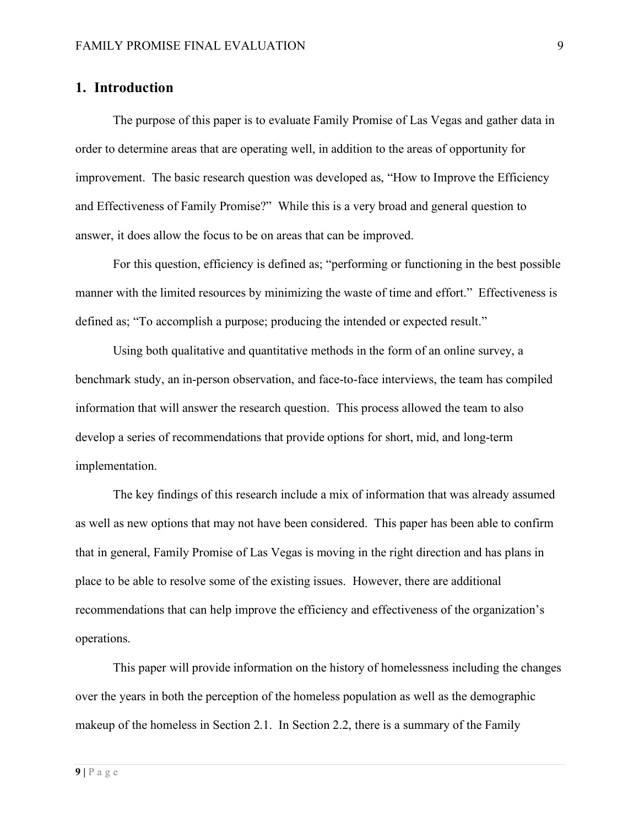#### **1. Introduction**

The purpose of this paper is to evaluate Family Promise of Las Vegas and gather data in order to determine areas that are operating well, in addition to the areas of opportunity for improvement. The basic research question was developed as, "How to Improve the Efficiency and Effectiveness of Family Promise?" While this is a very broad and general question to answer, it does allow the focus to be on areas that can be improved.

For this question, efficiency is defined as; "performing or functioning in the best possible manner with the limited resources by minimizing the waste of time and effort." Effectiveness is defined as; "To accomplish a purpose; producing the intended or expected result."

Using both qualitative and quantitative methods in the form of an online survey, a benchmark study, an in-person observation, and face-to-face interviews, the team has compiled information that will answer the research question. This process allowed the team to also develop a series of recommendations that provide options for short, mid, and long-term implementation.

The key findings of this research include a mix of information that was already assumed as well as new options that may not have been considered. This paper has been able to confirm that in general, Family Promise of Las Vegas is moving in the right direction and has plans in place to be able to resolve some of the existing issues. However, there are additional recommendations that can help improve the efficiency and effectiveness of the organization's operations.

This paper will provide information on the history of homelessness including the changes over the years in both the perception of the homeless population as well as the demographic makeup of the homeless in Section 2.1. In Section 2.2, there is a summary of the Family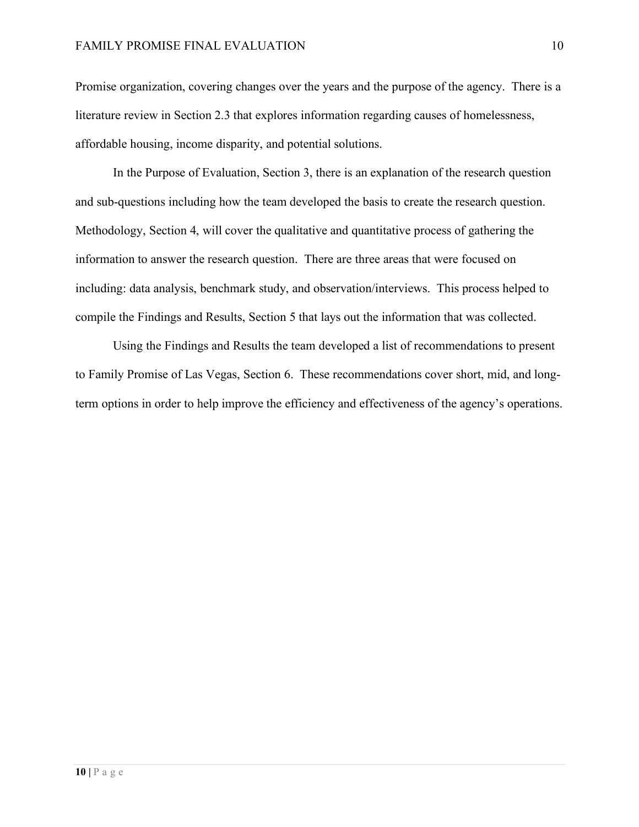Promise organization, covering changes over the years and the purpose of the agency. There is a literature review in Section 2.3 that explores information regarding causes of homelessness, affordable housing, income disparity, and potential solutions.

In the Purpose of Evaluation, Section 3, there is an explanation of the research question and sub-questions including how the team developed the basis to create the research question. Methodology, Section 4, will cover the qualitative and quantitative process of gathering the information to answer the research question. There are three areas that were focused on including: data analysis, benchmark study, and observation/interviews. This process helped to compile the Findings and Results, Section 5 that lays out the information that was collected.

Using the Findings and Results the team developed a list of recommendations to present to Family Promise of Las Vegas, Section 6. These recommendations cover short, mid, and longterm options in order to help improve the efficiency and effectiveness of the agency's operations.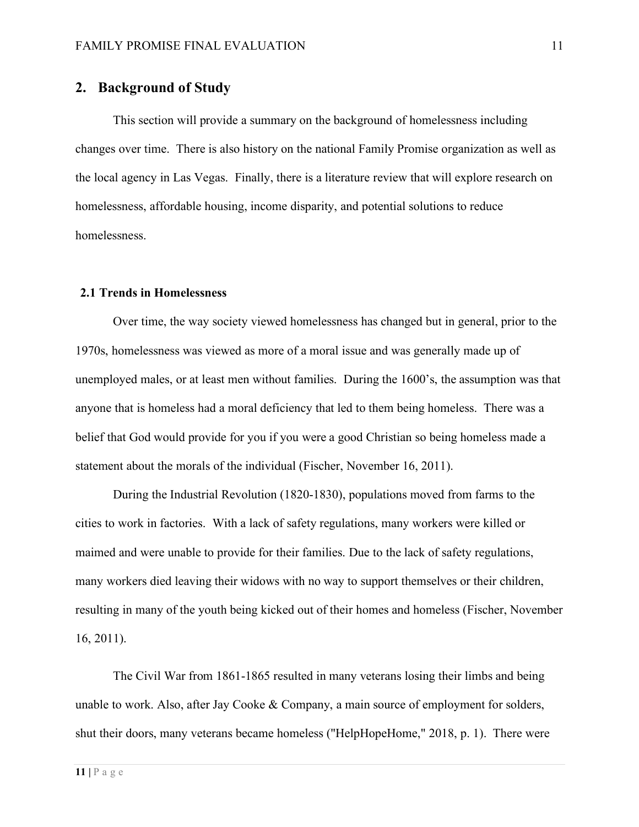## **2. Background of Study**

This section will provide a summary on the background of homelessness including changes over time. There is also history on the national Family Promise organization as well as the local agency in Las Vegas. Finally, there is a literature review that will explore research on homelessness, affordable housing, income disparity, and potential solutions to reduce homelessness.

#### **2.1 Trends in Homelessness**

Over time, the way society viewed homelessness has changed but in general, prior to the 1970s, homelessness was viewed as more of a moral issue and was generally made up of unemployed males, or at least men without families. During the 1600's, the assumption was that anyone that is homeless had a moral deficiency that led to them being homeless. There was a belief that God would provide for you if you were a good Christian so being homeless made a statement about the morals of the individual (Fischer, November 16, 2011).

During the Industrial Revolution (1820-1830), populations moved from farms to the cities to work in factories. With a lack of safety regulations, many workers were killed or maimed and were unable to provide for their families. Due to the lack of safety regulations, many workers died leaving their widows with no way to support themselves or their children, resulting in many of the youth being kicked out of their homes and homeless (Fischer, November 16, 2011).

The Civil War from 1861-1865 resulted in many veterans losing their limbs and being unable to work. Also, after Jay Cooke & Company, a main source of employment for solders, shut their doors, many veterans became homeless ("HelpHopeHome," 2018, p. 1). There were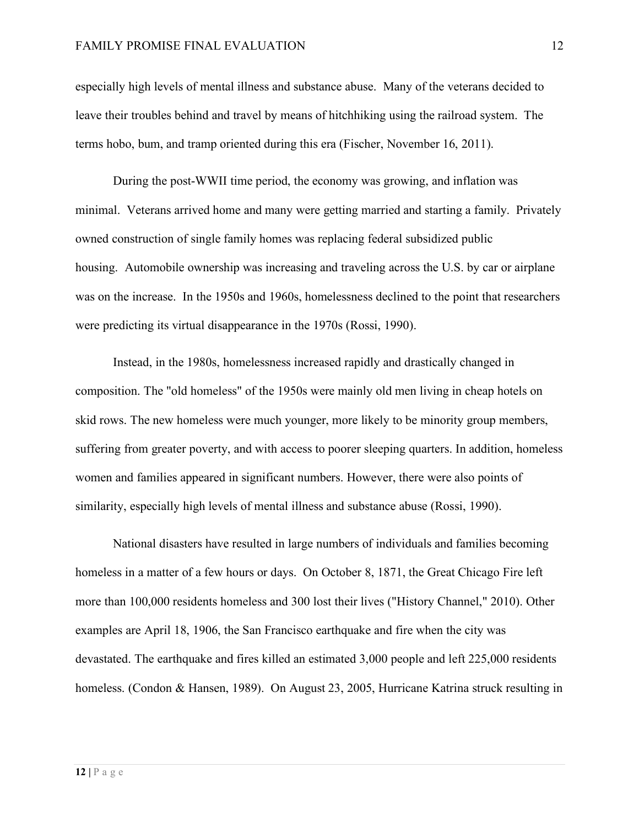especially high levels of mental illness and substance abuse. Many of the veterans decided to leave their troubles behind and travel by means of hitchhiking using the railroad system. The terms hobo, bum, and tramp oriented during this era (Fischer, November 16, 2011).

During the post-WWII time period, the economy was growing, and inflation was minimal. Veterans arrived home and many were getting married and starting a family. Privately owned construction of single family homes was replacing federal subsidized public housing. Automobile ownership was increasing and traveling across the U.S. by car or airplane was on the increase. In the 1950s and 1960s, homelessness declined to the point that researchers were predicting its virtual disappearance in the 1970s (Rossi, 1990).

Instead, in the 1980s, homelessness increased rapidly and drastically changed in composition. The "old homeless" of the 1950s were mainly old men living in cheap hotels on skid rows. The new homeless were much younger, more likely to be minority group members, suffering from greater poverty, and with access to poorer sleeping quarters. In addition, homeless women and families appeared in significant numbers. However, there were also points of similarity, especially high levels of mental illness and substance abuse (Rossi, 1990).

National disasters have resulted in large numbers of individuals and families becoming homeless in a matter of a few hours or days. On October 8, 1871, the Great Chicago Fire left more than 100,000 residents homeless and 300 lost their lives ("History Channel," 2010). Other examples are April 18, 1906, the San Francisco earthquake and fire when the city was devastated. The earthquake and fires killed an estimated 3,000 people and left 225,000 residents homeless. (Condon & Hansen, 1989). On August 23, 2005, Hurricane Katrina struck resulting in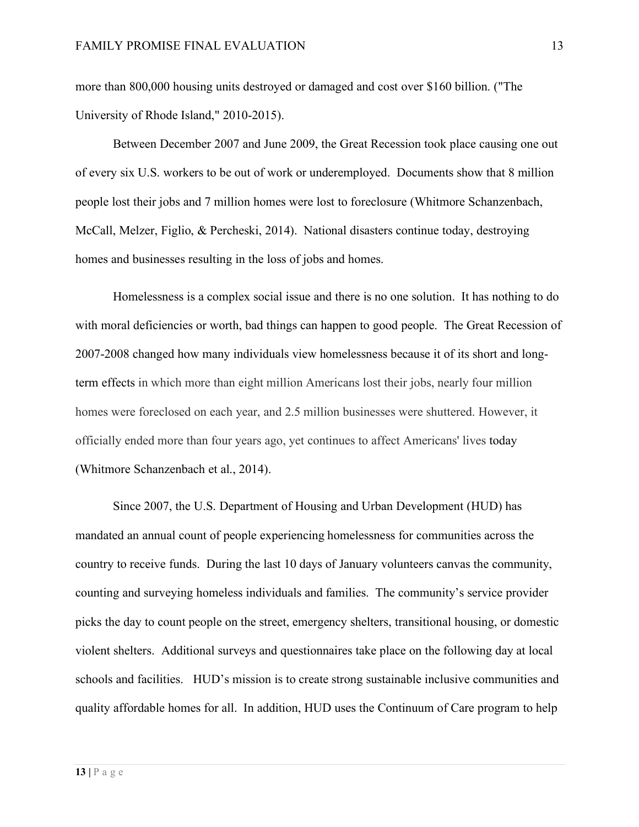more than 800,000 housing units destroyed or damaged and cost over \$160 billion. ("The University of Rhode Island," 2010-2015).

Between December 2007 and June 2009, the Great Recession took place causing one out of every six U.S. workers to be out of work or underemployed. Documents show that 8 million people lost their jobs and 7 million homes were lost to foreclosure (Whitmore Schanzenbach, McCall, Melzer, Figlio, & Percheski, 2014). National disasters continue today, destroying homes and businesses resulting in the loss of jobs and homes.

Homelessness is a complex social issue and there is no one solution. It has nothing to do with moral deficiencies or worth, bad things can happen to good people. The Great Recession of 2007-2008 changed how many individuals view homelessness because it of its short and longterm effects in which more than eight million Americans lost their jobs, nearly four million homes were foreclosed on each year, and 2.5 million businesses were shuttered. However, it officially ended more than four years ago, yet continues to affect Americans' lives today (Whitmore Schanzenbach et al., 2014).

Since 2007, the U.S. Department of Housing and Urban Development (HUD) has mandated an annual count of people experiencing homelessness for communities across the country to receive funds. During the last 10 days of January volunteers canvas the community, counting and surveying homeless individuals and families. The community's service provider picks the day to count people on the street, emergency shelters, transitional housing, or domestic violent shelters. Additional surveys and questionnaires take place on the following day at local schools and facilities. HUD's mission is to create strong sustainable inclusive communities and quality affordable homes for all. In addition, HUD uses the Continuum of Care program to help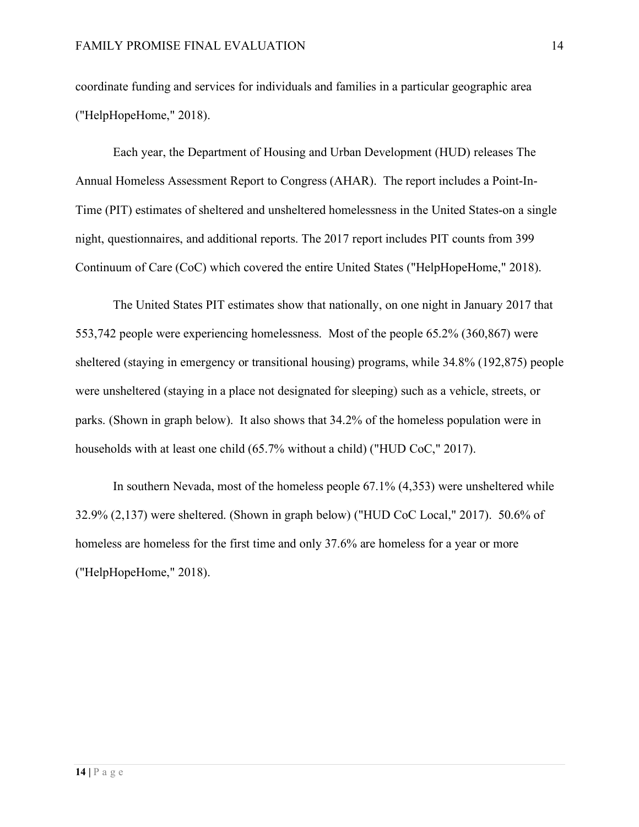coordinate funding and services for individuals and families in a particular geographic area ("HelpHopeHome," 2018).

Each year, the Department of Housing and Urban Development (HUD) releases The Annual Homeless Assessment Report to Congress (AHAR). The report includes a Point-In-Time (PIT) estimates of sheltered and unsheltered homelessness in the United States-on a single night, questionnaires, and additional reports. The 2017 report includes PIT counts from 399 Continuum of Care (CoC) which covered the entire United States ("HelpHopeHome," 2018).

The United States PIT estimates show that nationally, on one night in January 2017 that 553,742 people were experiencing homelessness. Most of the people 65.2% (360,867) were sheltered (staying in emergency or transitional housing) programs, while 34.8% (192,875) people were unsheltered (staying in a place not designated for sleeping) such as a vehicle, streets, or parks. (Shown in graph below). It also shows that 34.2% of the homeless population were in households with at least one child (65.7% without a child) ("HUD CoC," 2017).

In southern Nevada, most of the homeless people 67.1% (4,353) were unsheltered while 32.9% (2,137) were sheltered. (Shown in graph below) ("HUD CoC Local," 2017). 50.6% of homeless are homeless for the first time and only 37.6% are homeless for a year or more ("HelpHopeHome," 2018).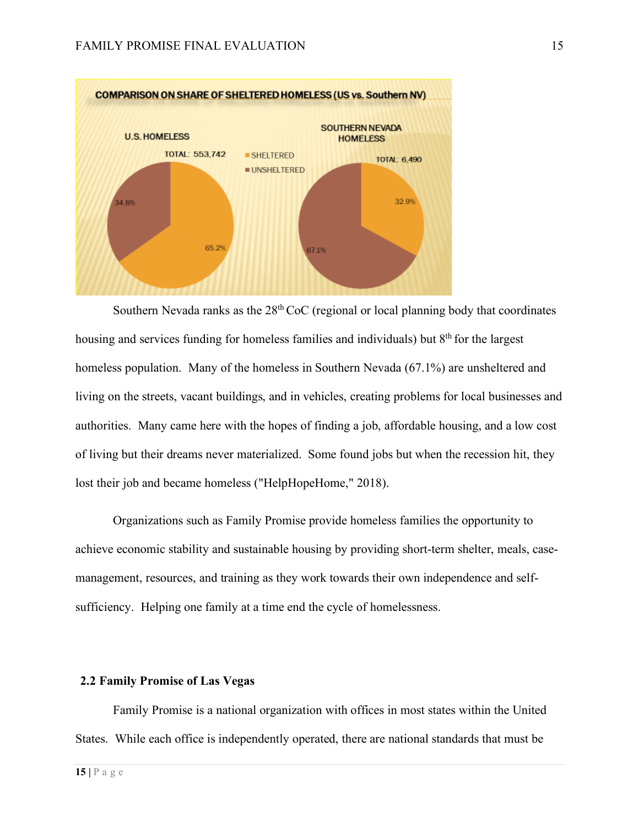

Southern Nevada ranks as the  $28<sup>th</sup> CoC$  (regional or local planning body that coordinates housing and services funding for homeless families and individuals) but 8<sup>th</sup> for the largest homeless population. Many of the homeless in Southern Nevada (67.1%) are unsheltered and living on the streets, vacant buildings, and in vehicles, creating problems for local businesses and authorities. Many came here with the hopes of finding a job, affordable housing, and a low cost of living but their dreams never materialized. Some found jobs but when the recession hit, they lost their job and became homeless ("HelpHopeHome," 2018).

Organizations such as Family Promise provide homeless families the opportunity to achieve economic stability and sustainable housing by providing short-term shelter, meals, casemanagement, resources, and training as they work towards their own independence and selfsufficiency. Helping one family at a time end the cycle of homelessness.

#### **2.2 Family Promise of Las Vegas**

Family Promise is a national organization with offices in most states within the United States. While each office is independently operated, there are national standards that must be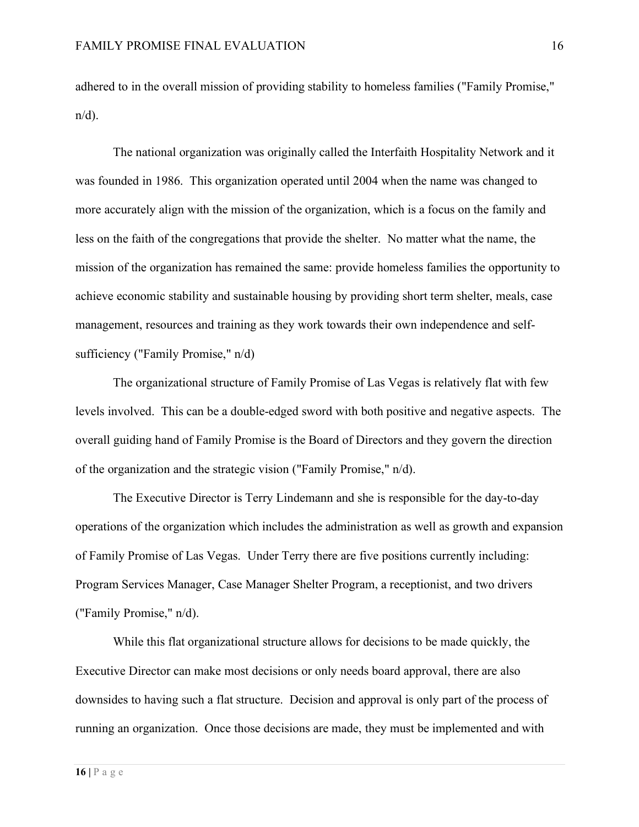adhered to in the overall mission of providing stability to homeless families ("Family Promise,"  $n/d$ ).

The national organization was originally called the Interfaith Hospitality Network and it was founded in 1986. This organization operated until 2004 when the name was changed to more accurately align with the mission of the organization, which is a focus on the family and less on the faith of the congregations that provide the shelter. No matter what the name, the mission of the organization has remained the same: provide homeless families the opportunity to achieve economic stability and sustainable housing by providing short term shelter, meals, case management, resources and training as they work towards their own independence and selfsufficiency ("Family Promise," n/d)

The organizational structure of Family Promise of Las Vegas is relatively flat with few levels involved. This can be a double-edged sword with both positive and negative aspects. The overall guiding hand of Family Promise is the Board of Directors and they govern the direction of the organization and the strategic vision ("Family Promise," n/d).

The Executive Director is Terry Lindemann and she is responsible for the day-to-day operations of the organization which includes the administration as well as growth and expansion of Family Promise of Las Vegas. Under Terry there are five positions currently including: Program Services Manager, Case Manager Shelter Program, a receptionist, and two drivers ("Family Promise," n/d).

While this flat organizational structure allows for decisions to be made quickly, the Executive Director can make most decisions or only needs board approval, there are also downsides to having such a flat structure. Decision and approval is only part of the process of running an organization. Once those decisions are made, they must be implemented and with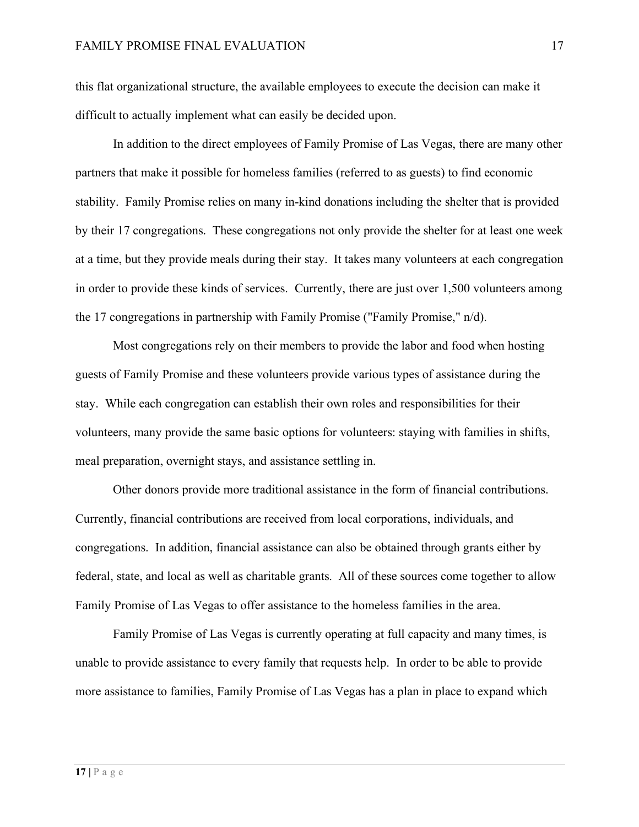this flat organizational structure, the available employees to execute the decision can make it difficult to actually implement what can easily be decided upon.

In addition to the direct employees of Family Promise of Las Vegas, there are many other partners that make it possible for homeless families (referred to as guests) to find economic stability. Family Promise relies on many in-kind donations including the shelter that is provided by their 17 congregations. These congregations not only provide the shelter for at least one week at a time, but they provide meals during their stay. It takes many volunteers at each congregation in order to provide these kinds of services. Currently, there are just over 1,500 volunteers among the 17 congregations in partnership with Family Promise ("Family Promise," n/d).

Most congregations rely on their members to provide the labor and food when hosting guests of Family Promise and these volunteers provide various types of assistance during the stay. While each congregation can establish their own roles and responsibilities for their volunteers, many provide the same basic options for volunteers: staying with families in shifts, meal preparation, overnight stays, and assistance settling in.

Other donors provide more traditional assistance in the form of financial contributions. Currently, financial contributions are received from local corporations, individuals, and congregations. In addition, financial assistance can also be obtained through grants either by federal, state, and local as well as charitable grants. All of these sources come together to allow Family Promise of Las Vegas to offer assistance to the homeless families in the area.

Family Promise of Las Vegas is currently operating at full capacity and many times, is unable to provide assistance to every family that requests help. In order to be able to provide more assistance to families, Family Promise of Las Vegas has a plan in place to expand which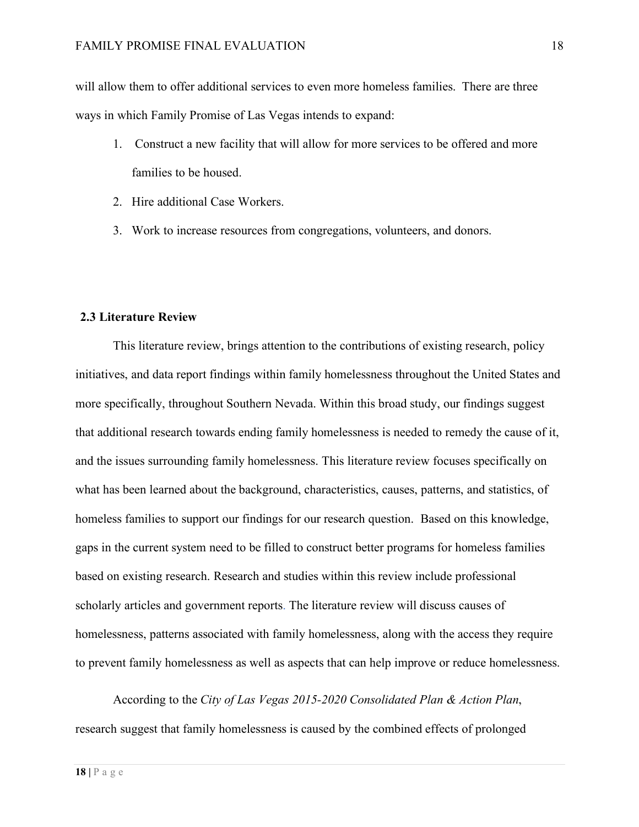will allow them to offer additional services to even more homeless families. There are three ways in which Family Promise of Las Vegas intends to expand:

- 1. Construct a new facility that will allow for more services to be offered and more families to be housed.
- 2. Hire additional Case Workers.
- 3. Work to increase resources from congregations, volunteers, and donors.

#### **2.3 Literature Review**

This literature review, brings attention to the contributions of existing research, policy initiatives, and data report findings within family homelessness throughout the United States and more specifically, throughout Southern Nevada. Within this broad study, our findings suggest that additional research towards ending family homelessness is needed to remedy the cause of it, and the issues surrounding family homelessness. This literature review focuses specifically on what has been learned about the background, characteristics, causes, patterns, and statistics, of homeless families to support our findings for our research question. Based on this knowledge, gaps in the current system need to be filled to construct better programs for homeless families based on existing research. Research and studies within this review include professional scholarly articles and government reports. The literature review will discuss causes of homelessness, patterns associated with family homelessness, along with the access they require to prevent family homelessness as well as aspects that can help improve or reduce homelessness.

According to the *City of Las Vegas 2015-2020 Consolidated Plan & Action Plan*, research suggest that family homelessness is caused by the combined effects of prolonged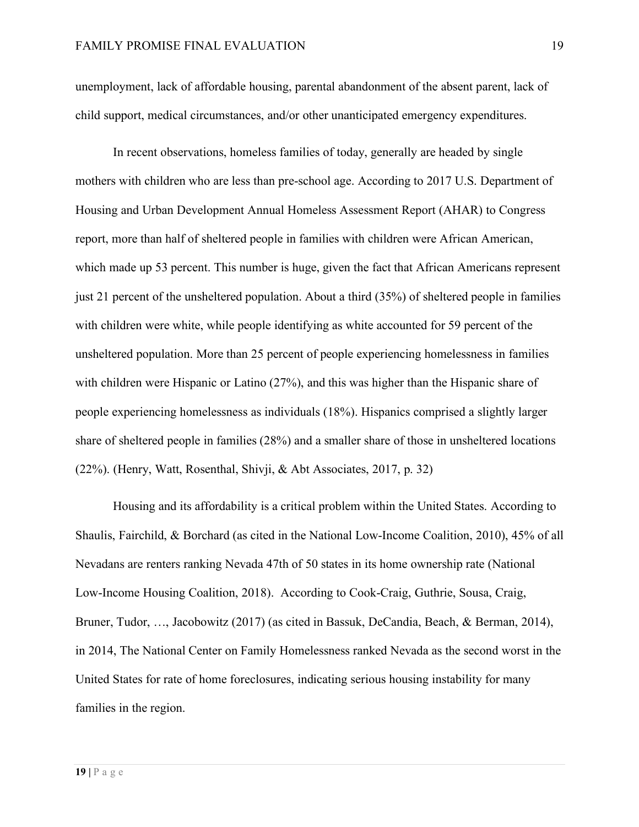unemployment, lack of affordable housing, parental abandonment of the absent parent, lack of child support, medical circumstances, and/or other unanticipated emergency expenditures.

In recent observations, homeless families of today, generally are headed by single mothers with children who are less than pre-school age. According to 2017 U.S. Department of Housing and Urban Development Annual Homeless Assessment Report (AHAR) to Congress report, more than half of sheltered people in families with children were African American, which made up 53 percent. This number is huge, given the fact that African Americans represent just 21 percent of the unsheltered population. About a third (35%) of sheltered people in families with children were white, while people identifying as white accounted for 59 percent of the unsheltered population. More than 25 percent of people experiencing homelessness in families with children were Hispanic or Latino (27%), and this was higher than the Hispanic share of people experiencing homelessness as individuals (18%). Hispanics comprised a slightly larger share of sheltered people in families (28%) and a smaller share of those in unsheltered locations (22%). (Henry, Watt, Rosenthal, Shivji, & Abt Associates, 2017, p. 32)

Housing and its affordability is a critical problem within the United States. According to Shaulis, Fairchild, & Borchard (as cited in the National Low-Income Coalition, 2010), 45% of all Nevadans are renters ranking Nevada 47th of 50 states in its home ownership rate (National Low-Income Housing Coalition, 2018). According to Cook-Craig, Guthrie, Sousa, Craig, Bruner, Tudor, …, Jacobowitz (2017) (as cited in Bassuk, DeCandia, Beach, & Berman, 2014), in 2014, The National Center on Family Homelessness ranked Nevada as the second worst in the United States for rate of home foreclosures, indicating serious housing instability for many families in the region.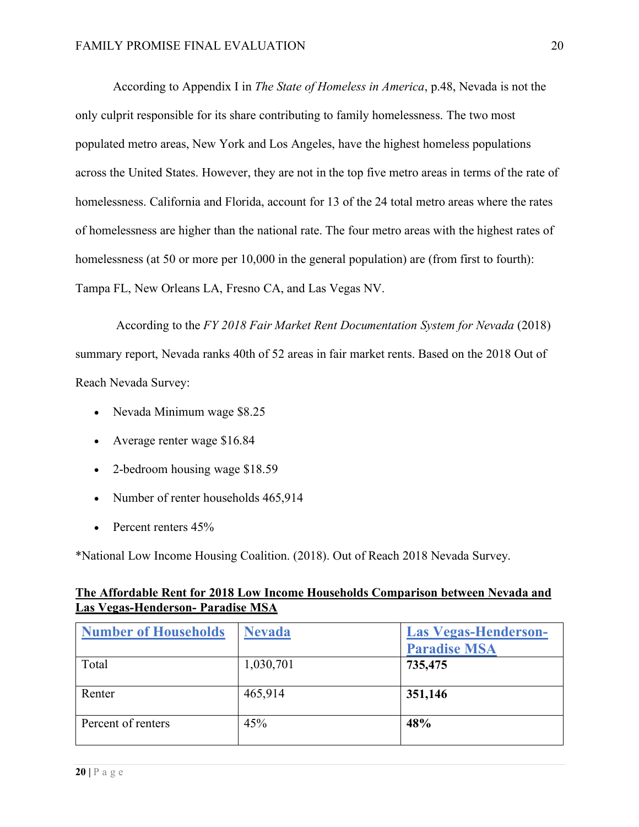According to Appendix I in *The State of Homeless in America*, p.48, Nevada is not the only culprit responsible for its share contributing to family homelessness. The two most populated metro areas, New York and Los Angeles, have the highest homeless populations across the United States. However, they are not in the top five metro areas in terms of the rate of homelessness. California and Florida, account for 13 of the 24 total metro areas where the rates of homelessness are higher than the national rate. The four metro areas with the highest rates of homelessness (at 50 or more per 10,000 in the general population) are (from first to fourth): Tampa FL, New Orleans LA, Fresno CA, and Las Vegas NV.

According to the *FY 2018 Fair Market Rent Documentation System for Nevada* (2018) summary report, Nevada ranks 40th of 52 areas in fair market rents. Based on the 2018 Out of Reach Nevada Survey:

- Nevada Minimum wage \$8.25
- Average renter wage \$16.84
- 2-bedroom housing wage \$18.59
- Number of renter households 465,914
- Percent renters  $45%$

\*National Low Income Housing Coalition. (2018). Out of Reach 2018 Nevada Survey.

### **The Affordable Rent for 2018 Low Income Households Comparison between Nevada and Las Vegas-Henderson- Paradise MSA**

| <b>Number of Households</b> | <b>Nevada</b> | <b>Las Vegas-Henderson-</b><br><b>Paradise MSA</b> |
|-----------------------------|---------------|----------------------------------------------------|
| Total                       | 1,030,701     | 735,475                                            |
| Renter                      | 465,914       | 351,146                                            |
| Percent of renters          | 45%           | 48%                                                |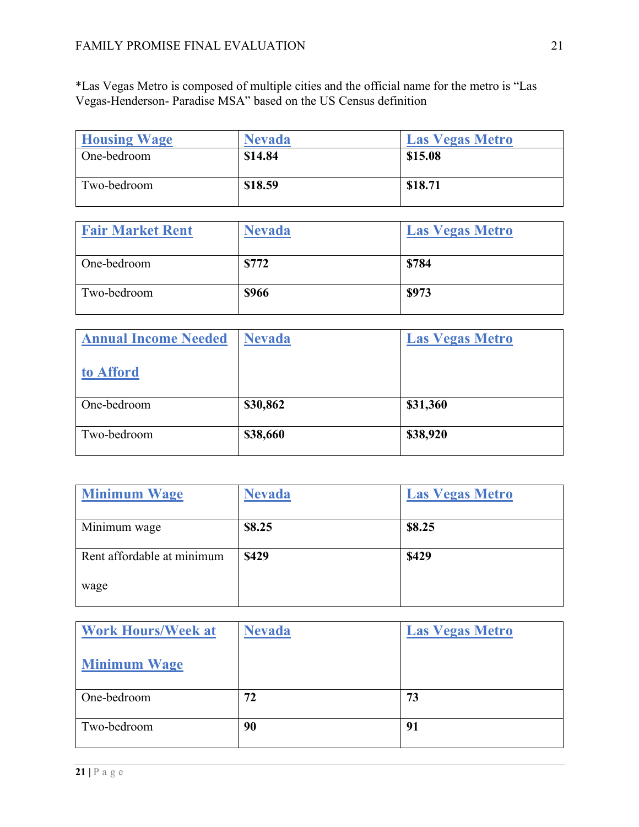\*Las Vegas Metro is composed of multiple cities and the official name for the metro is "Las Vegas-Henderson- Paradise MSA" based on the US Census definition

| <b>Housing Wage</b> | <b>Nevada</b> | <b>Las Vegas Metro</b> |
|---------------------|---------------|------------------------|
| One-bedroom         | \$14.84       | \$15.08                |
| Two-bedroom         | \$18.59       | \$18.71                |

| <b>Fair Market Rent</b> | <b>Nevada</b> | <b>Las Vegas Metro</b> |
|-------------------------|---------------|------------------------|
| One-bedroom             | \$772         | \$784                  |
| Two-bedroom             | <b>\$966</b>  | \$973                  |

| <b>Annual Income Needed</b> | Nevada   | <b>Las Vegas Metro</b> |
|-----------------------------|----------|------------------------|
| to Afford                   |          |                        |
| One-bedroom                 | \$30,862 | \$31,360               |
| Two-bedroom                 | \$38,660 | \$38,920               |

| <b>Minimum Wage</b>        | <b>Nevada</b> | <b>Las Vegas Metro</b> |
|----------------------------|---------------|------------------------|
| Minimum wage               | \$8.25        | \$8.25                 |
| Rent affordable at minimum | \$429         | \$429                  |
| wage                       |               |                        |

| <b>Work Hours/Week at</b> | <b>Nevada</b> | <b>Las Vegas Metro</b> |
|---------------------------|---------------|------------------------|
| <b>Minimum Wage</b>       |               |                        |
| One-bedroom               | 72            | 73                     |
| Two-bedroom               | 90            | 91                     |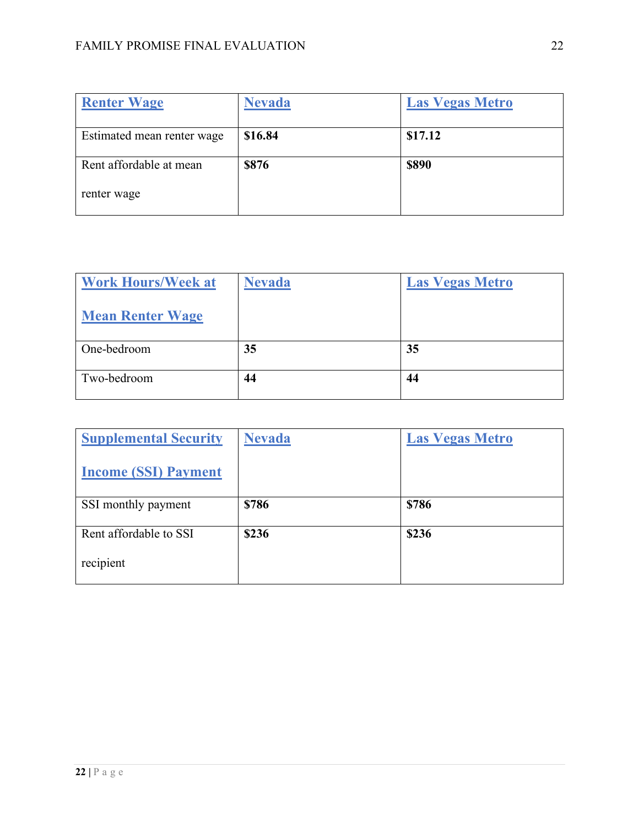| <b>Renter Wage</b>         | Nevada  | <b>Las Vegas Metro</b> |
|----------------------------|---------|------------------------|
| Estimated mean renter wage | \$16.84 | \$17.12                |
| Rent affordable at mean    | \$876   | \$890                  |
| renter wage                |         |                        |

| <b>Work Hours/Week at</b> | <b>Nevada</b> | <b>Las Vegas Metro</b> |
|---------------------------|---------------|------------------------|
| <b>Mean Renter Wage</b>   |               |                        |
| One-bedroom               | 35            | 35                     |
| Two-bedroom               | 44            | 44                     |

| <b>Supplemental Security</b> | <b>Nevada</b> | <b>Las Vegas Metro</b> |
|------------------------------|---------------|------------------------|
| <b>Income (SSI) Payment</b>  |               |                        |
| SSI monthly payment          | \$786         | \$786                  |
| Rent affordable to SSI       | \$236         |                        |
|                              |               | \$236                  |
| recipient                    |               |                        |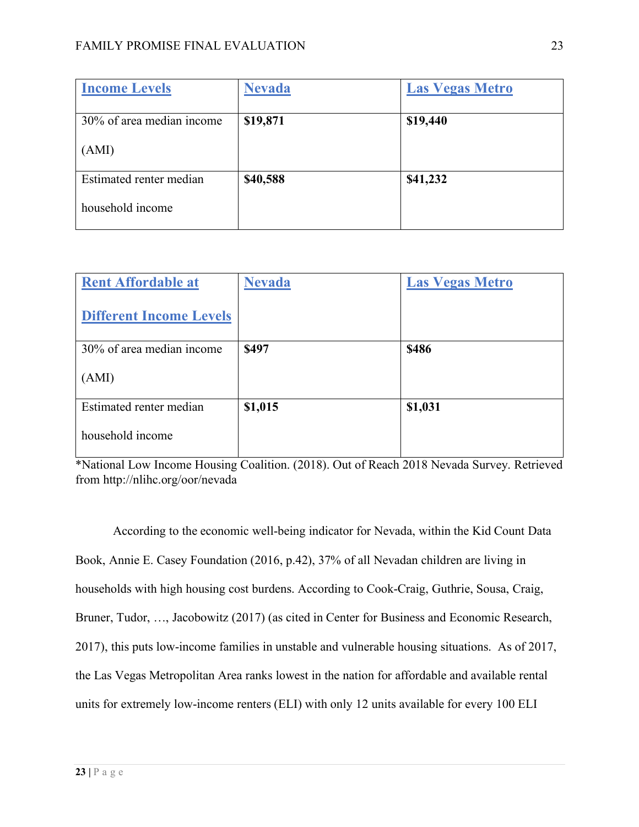| <b>Income Levels</b>      | <b>Nevada</b> | <b>Las Vegas Metro</b> |
|---------------------------|---------------|------------------------|
| 30% of area median income | \$19,871      | \$19,440               |
| (AMI)                     |               |                        |
| Estimated renter median   | \$40,588      | \$41,232               |
| household income          |               |                        |

| <b>Rent Affordable at</b>      | <b>Nevada</b> | <b>Las Vegas Metro</b> |
|--------------------------------|---------------|------------------------|
| <b>Different Income Levels</b> |               |                        |
| 30% of area median income      | \$497         | <b>\$486</b>           |
| (AMI)                          |               |                        |
| Estimated renter median        | \$1,015       | \$1,031                |
| household income               |               |                        |

\*National Low Income Housing Coalition. (2018). Out of Reach 2018 Nevada Survey. Retrieved from http://nlihc.org/oor/nevada

According to the economic well-being indicator for Nevada, within the Kid Count Data Book, Annie E. Casey Foundation (2016, p.42), 37% of all Nevadan children are living in households with high housing cost burdens. According to Cook-Craig, Guthrie, Sousa, Craig, Bruner, Tudor, …, Jacobowitz (2017) (as cited in Center for Business and Economic Research, 2017), this puts low-income families in unstable and vulnerable housing situations. As of 2017, the Las Vegas Metropolitan Area ranks lowest in the nation for affordable and available rental units for extremely low-income renters (ELI) with only 12 units available for every 100 ELI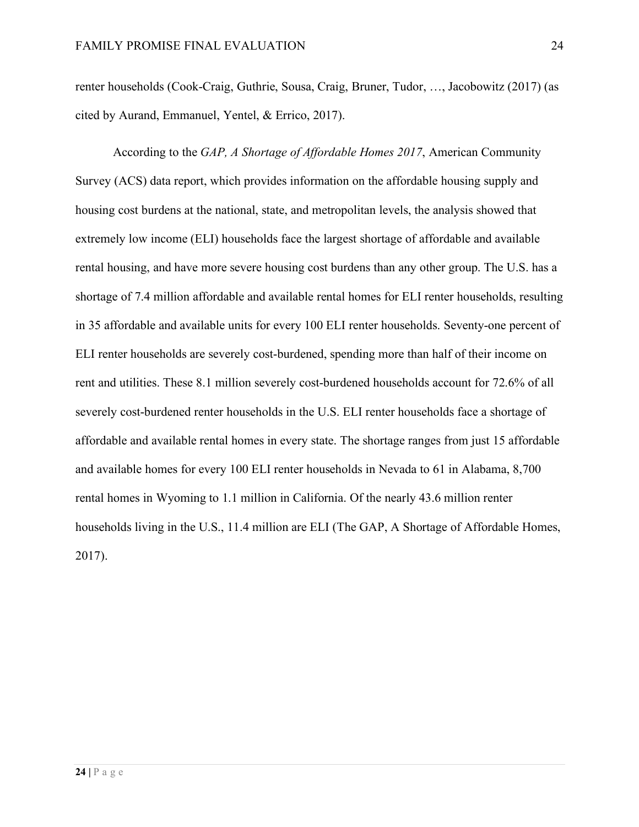renter households (Cook-Craig, Guthrie, Sousa, Craig, Bruner, Tudor, …, Jacobowitz (2017) (as cited by Aurand, Emmanuel, Yentel, & Errico, 2017).

According to the *GAP, A Shortage of Affordable Homes 2017*, American Community Survey (ACS) data report, which provides information on the affordable housing supply and housing cost burdens at the national, state, and metropolitan levels, the analysis showed that extremely low income (ELI) households face the largest shortage of affordable and available rental housing, and have more severe housing cost burdens than any other group. The U.S. has a shortage of 7.4 million affordable and available rental homes for ELI renter households, resulting in 35 affordable and available units for every 100 ELI renter households. Seventy-one percent of ELI renter households are severely cost-burdened, spending more than half of their income on rent and utilities. These 8.1 million severely cost-burdened households account for 72.6% of all severely cost-burdened renter households in the U.S. ELI renter households face a shortage of affordable and available rental homes in every state. The shortage ranges from just 15 affordable and available homes for every 100 ELI renter households in Nevada to 61 in Alabama, 8,700 rental homes in Wyoming to 1.1 million in California. Of the nearly 43.6 million renter households living in the U.S., 11.4 million are ELI (The GAP, A Shortage of Affordable Homes, 2017).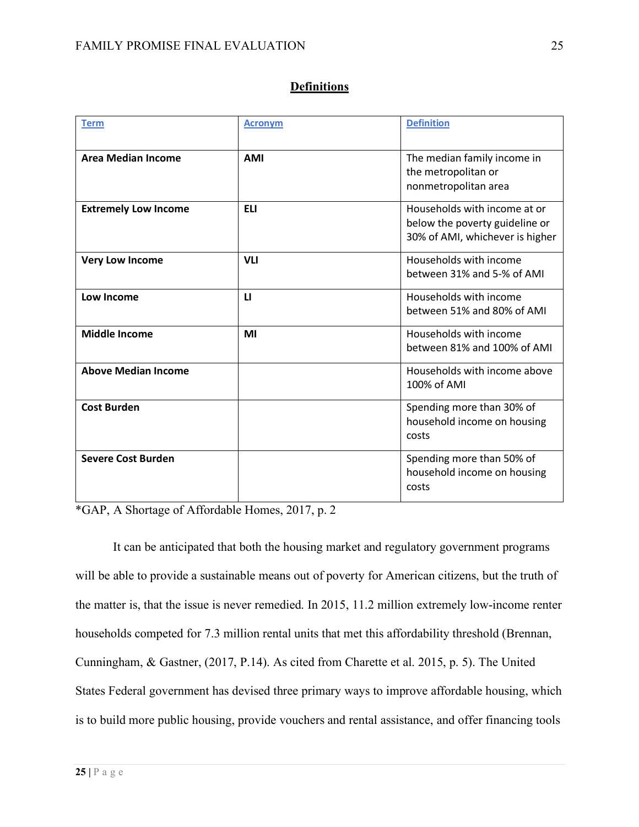| <b>Term</b>                 | <b>Acronym</b> | <b>Definition</b>                                                                                 |
|-----------------------------|----------------|---------------------------------------------------------------------------------------------------|
| <b>Area Median Income</b>   | <b>AMI</b>     | The median family income in<br>the metropolitan or<br>nonmetropolitan area                        |
| <b>Extremely Low Income</b> | <b>ELI</b>     | Households with income at or<br>below the poverty guideline or<br>30% of AMI, whichever is higher |
| <b>Very Low Income</b>      | <b>VLI</b>     | Households with income<br>between 31% and 5-% of AMI                                              |
| Low Income                  | $\mathbf{u}$   | Households with income<br>between 51% and 80% of AMI                                              |
| <b>Middle Income</b>        | MI             | Households with income<br>between 81% and 100% of AMI                                             |
| <b>Above Median Income</b>  |                | Households with income above<br>100% of AMI                                                       |
| <b>Cost Burden</b>          |                | Spending more than 30% of<br>household income on housing<br>costs                                 |
| <b>Severe Cost Burden</b>   |                | Spending more than 50% of<br>household income on housing<br>costs                                 |

#### **Definitions**

\*GAP, A Shortage of Affordable Homes, 2017, p. 2

It can be anticipated that both the housing market and regulatory government programs will be able to provide a sustainable means out of poverty for American citizens, but the truth of the matter is, that the issue is never remedied. In 2015, 11.2 million extremely low-income renter households competed for 7.3 million rental units that met this affordability threshold (Brennan, Cunningham, & Gastner, (2017, P.14). As cited from Charette et al. 2015, p. 5). The United States Federal government has devised three primary ways to improve affordable housing, which is to build more public housing, provide vouchers and rental assistance, and offer financing tools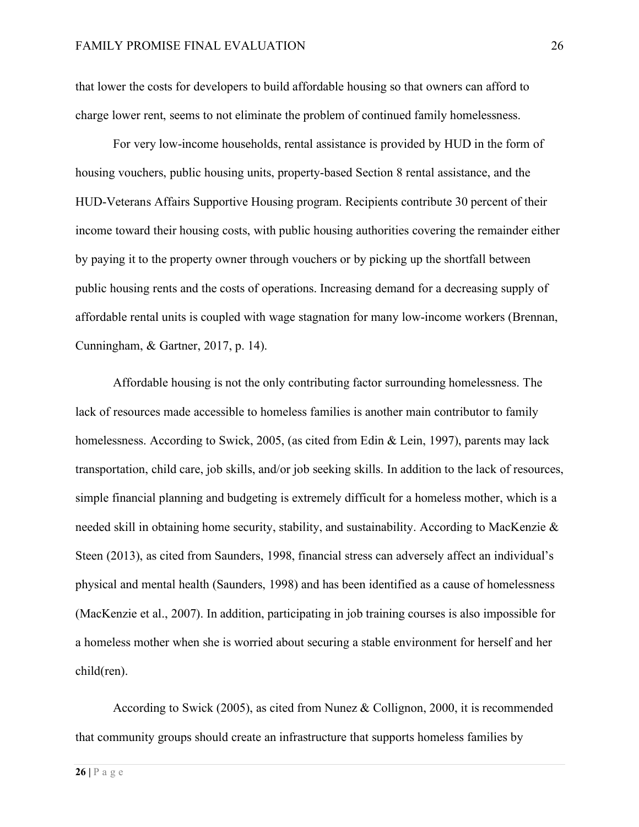that lower the costs for developers to build affordable housing so that owners can afford to charge lower rent, seems to not eliminate the problem of continued family homelessness.

For very low-income households, rental assistance is provided by HUD in the form of housing vouchers, public housing units, property-based Section 8 rental assistance, and the HUD-Veterans Affairs Supportive Housing program. Recipients contribute 30 percent of their income toward their housing costs, with public housing authorities covering the remainder either by paying it to the property owner through vouchers or by picking up the shortfall between public housing rents and the costs of operations. Increasing demand for a decreasing supply of affordable rental units is coupled with wage stagnation for many low-income workers (Brennan, Cunningham, & Gartner, 2017, p. 14).

Affordable housing is not the only contributing factor surrounding homelessness. The lack of resources made accessible to homeless families is another main contributor to family homelessness. According to Swick, 2005, (as cited from Edin & Lein, 1997), parents may lack transportation, child care, job skills, and/or job seeking skills. In addition to the lack of resources, simple financial planning and budgeting is extremely difficult for a homeless mother, which is a needed skill in obtaining home security, stability, and sustainability. According to MacKenzie & Steen (2013), as cited from Saunders, 1998, financial stress can adversely affect an individual's physical and mental health (Saunders, 1998) and has been identified as a cause of homelessness (MacKenzie et al., 2007). In addition, participating in job training courses is also impossible for a homeless mother when she is worried about securing a stable environment for herself and her child(ren).

According to Swick (2005), as cited from Nunez & Collignon, 2000, it is recommended that community groups should create an infrastructure that supports homeless families by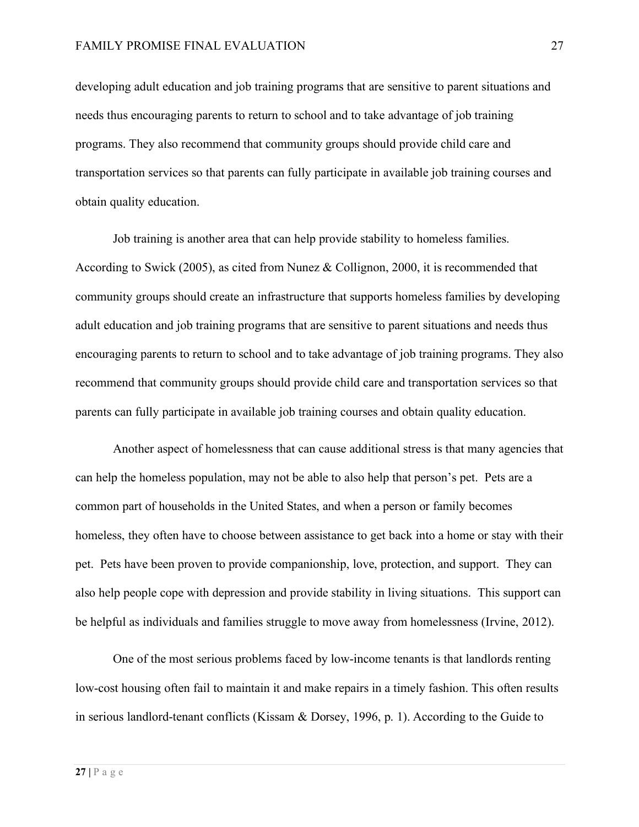developing adult education and job training programs that are sensitive to parent situations and needs thus encouraging parents to return to school and to take advantage of job training programs. They also recommend that community groups should provide child care and transportation services so that parents can fully participate in available job training courses and obtain quality education.

Job training is another area that can help provide stability to homeless families. According to Swick (2005), as cited from Nunez & Collignon, 2000, it is recommended that community groups should create an infrastructure that supports homeless families by developing adult education and job training programs that are sensitive to parent situations and needs thus encouraging parents to return to school and to take advantage of job training programs. They also recommend that community groups should provide child care and transportation services so that parents can fully participate in available job training courses and obtain quality education.

Another aspect of homelessness that can cause additional stress is that many agencies that can help the homeless population, may not be able to also help that person's pet. Pets are a common part of households in the United States, and when a person or family becomes homeless, they often have to choose between assistance to get back into a home or stay with their pet. Pets have been proven to provide companionship, love, protection, and support. They can also help people cope with depression and provide stability in living situations. This support can be helpful as individuals and families struggle to move away from homelessness (Irvine, 2012).

One of the most serious problems faced by low-income tenants is that landlords renting low-cost housing often fail to maintain it and make repairs in a timely fashion. This often results in serious landlord-tenant conflicts (Kissam & Dorsey, 1996, p. 1). According to the Guide to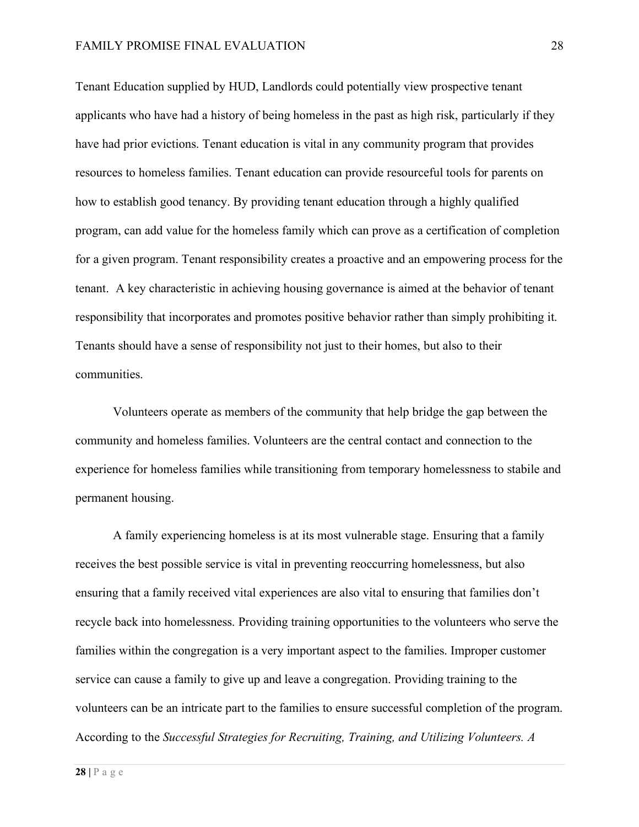Tenant Education supplied by HUD, Landlords could potentially view prospective tenant applicants who have had a history of being homeless in the past as high risk, particularly if they have had prior evictions. Tenant education is vital in any community program that provides resources to homeless families. Tenant education can provide resourceful tools for parents on how to establish good tenancy. By providing tenant education through a highly qualified program, can add value for the homeless family which can prove as a certification of completion for a given program. Tenant responsibility creates a proactive and an empowering process for the tenant. A key characteristic in achieving housing governance is aimed at the behavior of tenant responsibility that incorporates and promotes positive behavior rather than simply prohibiting it. Tenants should have a sense of responsibility not just to their homes, but also to their communities.

Volunteers operate as members of the community that help bridge the gap between the community and homeless families. Volunteers are the central contact and connection to the experience for homeless families while transitioning from temporary homelessness to stabile and permanent housing.

A family experiencing homeless is at its most vulnerable stage. Ensuring that a family receives the best possible service is vital in preventing reoccurring homelessness, but also ensuring that a family received vital experiences are also vital to ensuring that families don't recycle back into homelessness. Providing training opportunities to the volunteers who serve the families within the congregation is a very important aspect to the families. Improper customer service can cause a family to give up and leave a congregation. Providing training to the volunteers can be an intricate part to the families to ensure successful completion of the program. According to the *Successful Strategies for Recruiting, Training, and Utilizing Volunteers. A*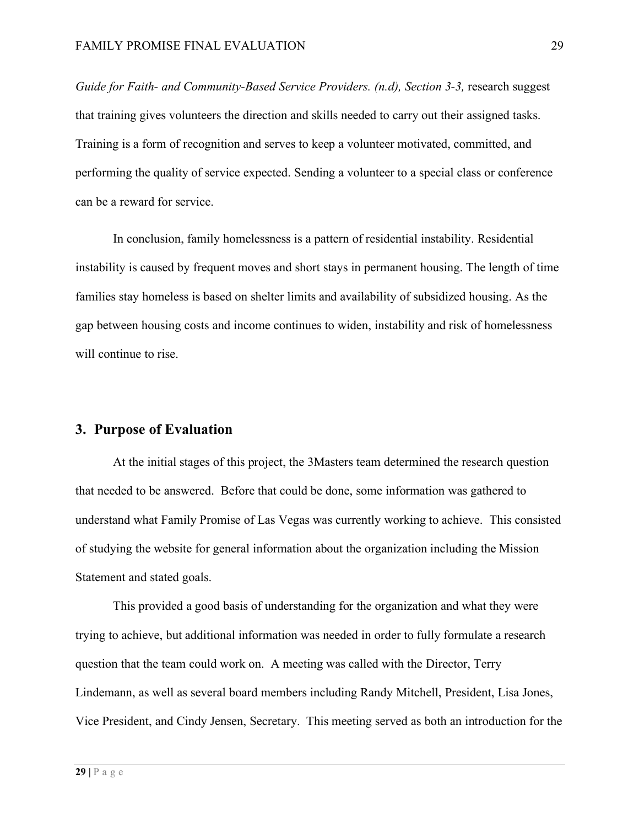*Guide for Faith- and Community-Based Service Providers. (n.d), Section 3-3,* research suggest that training gives volunteers the direction and skills needed to carry out their assigned tasks. Training is a form of recognition and serves to keep a volunteer motivated, committed, and performing the quality of service expected. Sending a volunteer to a special class or conference can be a reward for service.

In conclusion, family homelessness is a pattern of residential instability. Residential instability is caused by frequent moves and short stays in permanent housing. The length of time families stay homeless is based on shelter limits and availability of subsidized housing. As the gap between housing costs and income continues to widen, instability and risk of homelessness will continue to rise.

#### **3. Purpose of Evaluation**

At the initial stages of this project, the 3Masters team determined the research question that needed to be answered. Before that could be done, some information was gathered to understand what Family Promise of Las Vegas was currently working to achieve. This consisted of studying the website for general information about the organization including the Mission Statement and stated goals.

This provided a good basis of understanding for the organization and what they were trying to achieve, but additional information was needed in order to fully formulate a research question that the team could work on. A meeting was called with the Director, Terry Lindemann, as well as several board members including Randy Mitchell, President, Lisa Jones, Vice President, and Cindy Jensen, Secretary. This meeting served as both an introduction for the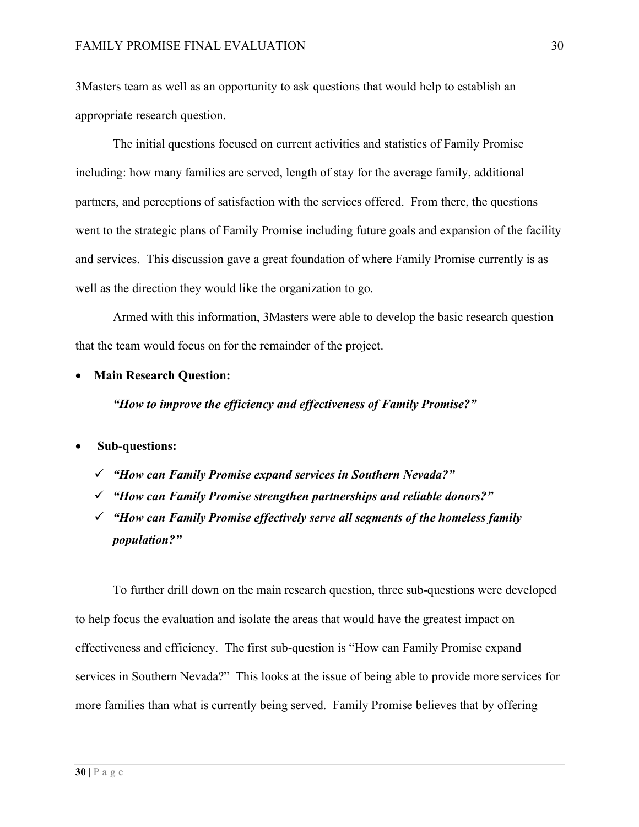3Masters team as well as an opportunity to ask questions that would help to establish an appropriate research question.

The initial questions focused on current activities and statistics of Family Promise including: how many families are served, length of stay for the average family, additional partners, and perceptions of satisfaction with the services offered. From there, the questions went to the strategic plans of Family Promise including future goals and expansion of the facility and services. This discussion gave a great foundation of where Family Promise currently is as well as the direction they would like the organization to go.

Armed with this information, 3Masters were able to develop the basic research question that the team would focus on for the remainder of the project.

• **Main Research Question:**

*"How to improve the efficiency and effectiveness of Family Promise?"* 

#### • **Sub-questions:**

- ü *"How can Family Promise expand services in Southern Nevada?"*
- ü *"How can Family Promise strengthen partnerships and reliable donors?"*
- ü *"How can Family Promise effectively serve all segments of the homeless family population?"*

To further drill down on the main research question, three sub-questions were developed to help focus the evaluation and isolate the areas that would have the greatest impact on effectiveness and efficiency. The first sub-question is "How can Family Promise expand services in Southern Nevada?" This looks at the issue of being able to provide more services for more families than what is currently being served. Family Promise believes that by offering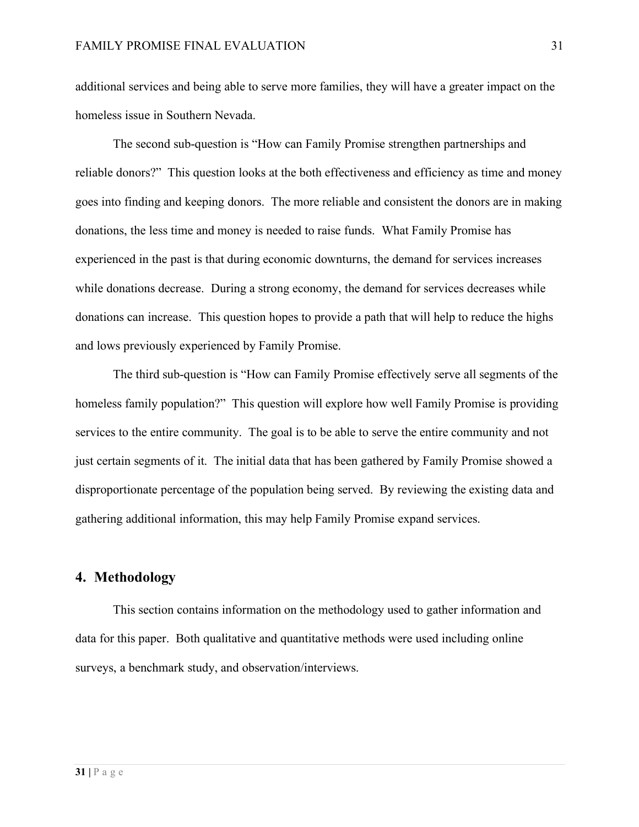additional services and being able to serve more families, they will have a greater impact on the homeless issue in Southern Nevada.

The second sub-question is "How can Family Promise strengthen partnerships and reliable donors?" This question looks at the both effectiveness and efficiency as time and money goes into finding and keeping donors. The more reliable and consistent the donors are in making donations, the less time and money is needed to raise funds. What Family Promise has experienced in the past is that during economic downturns, the demand for services increases while donations decrease. During a strong economy, the demand for services decreases while donations can increase. This question hopes to provide a path that will help to reduce the highs and lows previously experienced by Family Promise.

The third sub-question is "How can Family Promise effectively serve all segments of the homeless family population?" This question will explore how well Family Promise is providing services to the entire community. The goal is to be able to serve the entire community and not just certain segments of it. The initial data that has been gathered by Family Promise showed a disproportionate percentage of the population being served. By reviewing the existing data and gathering additional information, this may help Family Promise expand services.

## **4. Methodology**

This section contains information on the methodology used to gather information and data for this paper. Both qualitative and quantitative methods were used including online surveys, a benchmark study, and observation/interviews.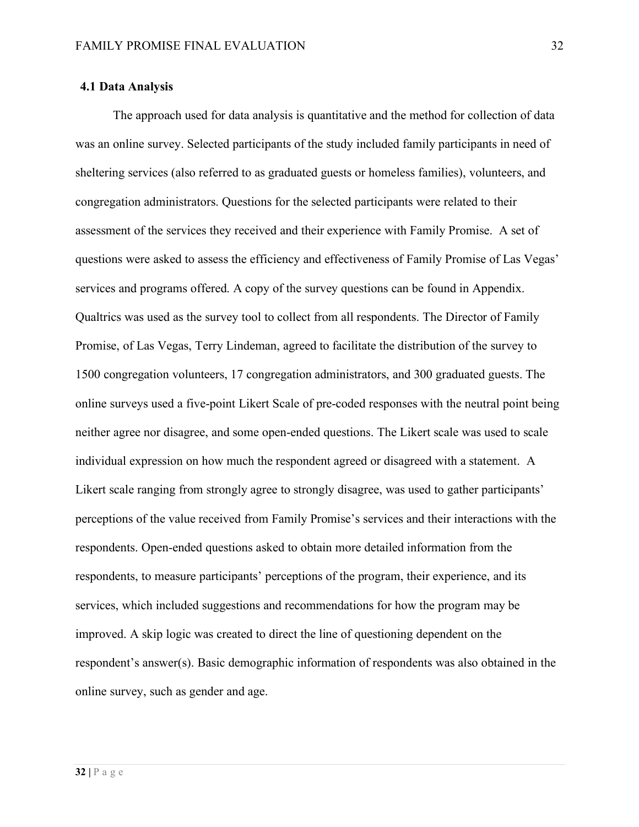#### **4.1 Data Analysis**

The approach used for data analysis is quantitative and the method for collection of data was an online survey. Selected participants of the study included family participants in need of sheltering services (also referred to as graduated guests or homeless families), volunteers, and congregation administrators. Questions for the selected participants were related to their assessment of the services they received and their experience with Family Promise. A set of questions were asked to assess the efficiency and effectiveness of Family Promise of Las Vegas' services and programs offered. A copy of the survey questions can be found in Appendix. Qualtrics was used as the survey tool to collect from all respondents. The Director of Family Promise, of Las Vegas, Terry Lindeman, agreed to facilitate the distribution of the survey to 1500 congregation volunteers, 17 congregation administrators, and 300 graduated guests. The online surveys used a five-point Likert Scale of pre-coded responses with the neutral point being neither agree nor disagree, and some open-ended questions. The Likert scale was used to scale individual expression on how much the respondent agreed or disagreed with a statement. A Likert scale ranging from strongly agree to strongly disagree, was used to gather participants' perceptions of the value received from Family Promise's services and their interactions with the respondents. Open-ended questions asked to obtain more detailed information from the respondents, to measure participants' perceptions of the program, their experience, and its services, which included suggestions and recommendations for how the program may be improved. A skip logic was created to direct the line of questioning dependent on the respondent's answer(s). Basic demographic information of respondents was also obtained in the online survey, such as gender and age.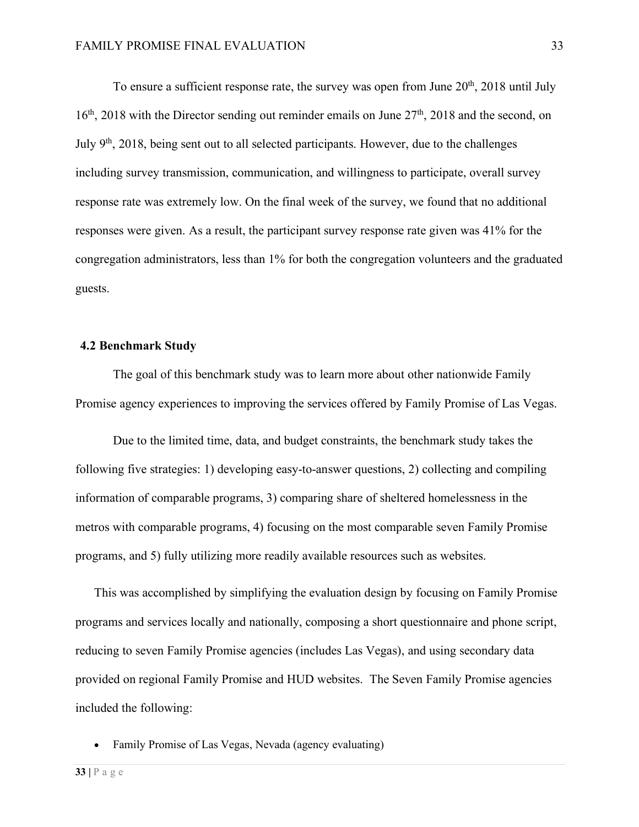To ensure a sufficient response rate, the survey was open from June  $20<sup>th</sup>$ ,  $2018$  until July  $16<sup>th</sup>$ , 2018 with the Director sending out reminder emails on June  $27<sup>th</sup>$ , 2018 and the second, on July  $9<sup>th</sup>$ , 2018, being sent out to all selected participants. However, due to the challenges including survey transmission, communication, and willingness to participate, overall survey response rate was extremely low. On the final week of the survey, we found that no additional responses were given. As a result, the participant survey response rate given was 41% for the congregation administrators, less than 1% for both the congregation volunteers and the graduated guests.

#### **4.2 Benchmark Study**

The goal of this benchmark study was to learn more about other nationwide Family Promise agency experiences to improving the services offered by Family Promise of Las Vegas.

Due to the limited time, data, and budget constraints, the benchmark study takes the following five strategies: 1) developing easy-to-answer questions, 2) collecting and compiling information of comparable programs, 3) comparing share of sheltered homelessness in the metros with comparable programs, 4) focusing on the most comparable seven Family Promise programs, and 5) fully utilizing more readily available resources such as websites.

This was accomplished by simplifying the evaluation design by focusing on Family Promise programs and services locally and nationally, composing a short questionnaire and phone script, reducing to seven Family Promise agencies (includes Las Vegas), and using secondary data provided on regional Family Promise and HUD websites. The Seven Family Promise agencies included the following:

• Family Promise of Las Vegas, Nevada (agency evaluating)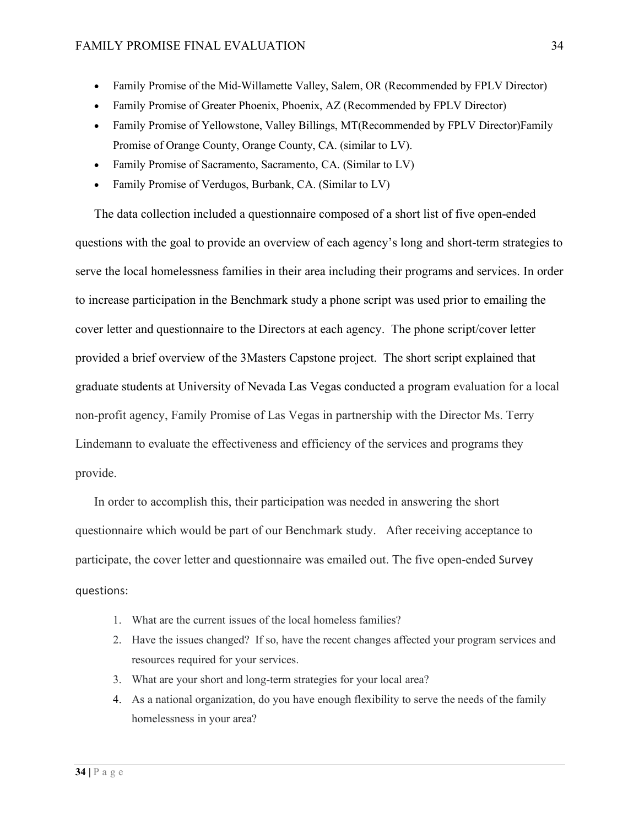- Family Promise of the Mid-Willamette Valley, Salem, OR (Recommended by FPLV Director)
- Family Promise of Greater Phoenix, Phoenix, AZ (Recommended by FPLV Director)
- Family Promise of Yellowstone, Valley Billings, MT(Recommended by FPLV Director)Family Promise of Orange County, Orange County, CA. (similar to LV).
- Family Promise of Sacramento, Sacramento, CA. (Similar to LV)
- Family Promise of Verdugos, Burbank, CA. (Similar to LV)

The data collection included a questionnaire composed of a short list of five open-ended questions with the goal to provide an overview of each agency's long and short-term strategies to serve the local homelessness families in their area including their programs and services. In order to increase participation in the Benchmark study a phone script was used prior to emailing the cover letter and questionnaire to the Directors at each agency. The phone script/cover letter provided a brief overview of the 3Masters Capstone project. The short script explained that graduate students at University of Nevada Las Vegas conducted a program evaluation for a local non-profit agency, Family Promise of Las Vegas in partnership with the Director Ms. Terry Lindemann to evaluate the effectiveness and efficiency of the services and programs they provide.

In order to accomplish this, their participation was needed in answering the short questionnaire which would be part of our Benchmark study. After receiving acceptance to participate, the cover letter and questionnaire was emailed out. The five open-ended Survey questions:

- 1. What are the current issues of the local homeless families?
- 2. Have the issues changed? If so, have the recent changes affected your program services and resources required for your services.
- 3. What are your short and long-term strategies for your local area?
- 4. As a national organization, do you have enough flexibility to serve the needs of the family homelessness in your area?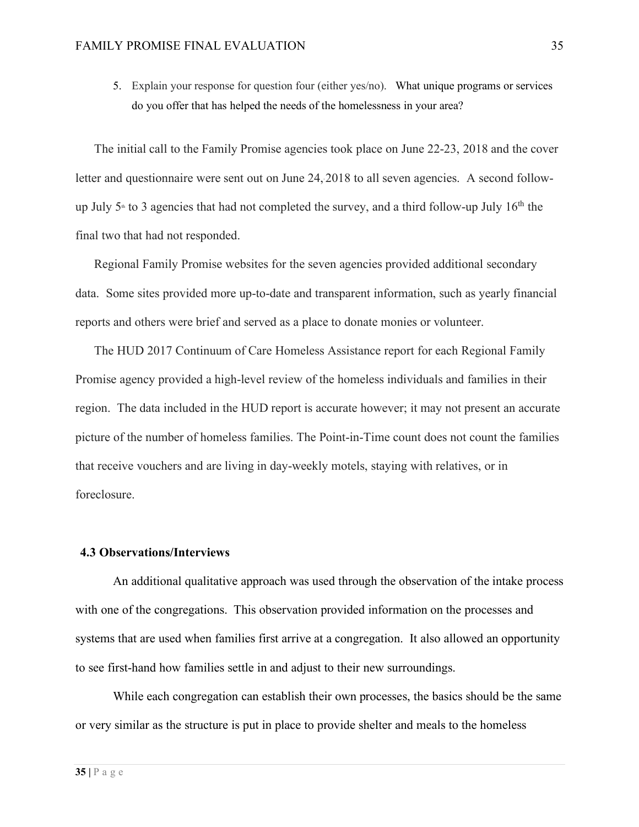5. Explain your response for question four (either yes/no). What unique programs or services do you offer that has helped the needs of the homelessness in your area?

The initial call to the Family Promise agencies took place on June 22-23, 2018 and the cover letter and questionnaire were sent out on June 24, 2018 to all seven agencies. A second followup July  $5<sup>th</sup>$  to 3 agencies that had not completed the survey, and a third follow-up July  $16<sup>th</sup>$  the final two that had not responded.

Regional Family Promise websites for the seven agencies provided additional secondary data. Some sites provided more up-to-date and transparent information, such as yearly financial reports and others were brief and served as a place to donate monies or volunteer.

The HUD 2017 Continuum of Care Homeless Assistance report for each Regional Family Promise agency provided a high-level review of the homeless individuals and families in their region. The data included in the HUD report is accurate however; it may not present an accurate picture of the number of homeless families. The Point-in-Time count does not count the families that receive vouchers and are living in day-weekly motels, staying with relatives, or in foreclosure.

#### **4.3 Observations/Interviews**

An additional qualitative approach was used through the observation of the intake process with one of the congregations. This observation provided information on the processes and systems that are used when families first arrive at a congregation. It also allowed an opportunity to see first-hand how families settle in and adjust to their new surroundings.

While each congregation can establish their own processes, the basics should be the same or very similar as the structure is put in place to provide shelter and meals to the homeless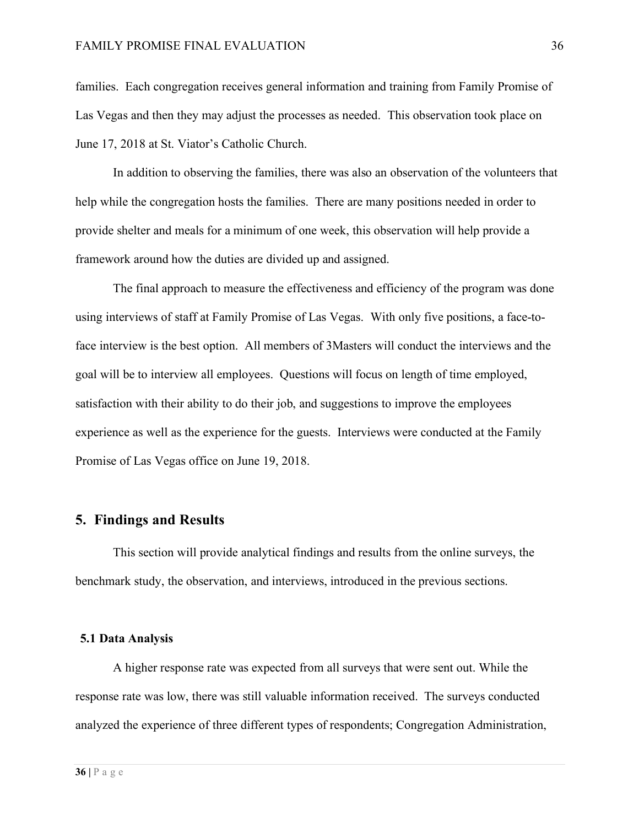families. Each congregation receives general information and training from Family Promise of Las Vegas and then they may adjust the processes as needed. This observation took place on June 17, 2018 at St. Viator's Catholic Church.

In addition to observing the families, there was also an observation of the volunteers that help while the congregation hosts the families. There are many positions needed in order to provide shelter and meals for a minimum of one week, this observation will help provide a framework around how the duties are divided up and assigned.

The final approach to measure the effectiveness and efficiency of the program was done using interviews of staff at Family Promise of Las Vegas. With only five positions, a face-toface interview is the best option. All members of 3Masters will conduct the interviews and the goal will be to interview all employees. Questions will focus on length of time employed, satisfaction with their ability to do their job, and suggestions to improve the employees experience as well as the experience for the guests. Interviews were conducted at the Family Promise of Las Vegas office on June 19, 2018.

## **5. Findings and Results**

This section will provide analytical findings and results from the online surveys, the benchmark study, the observation, and interviews, introduced in the previous sections.

#### **5.1 Data Analysis**

A higher response rate was expected from all surveys that were sent out. While the response rate was low, there was still valuable information received. The surveys conducted analyzed the experience of three different types of respondents; Congregation Administration,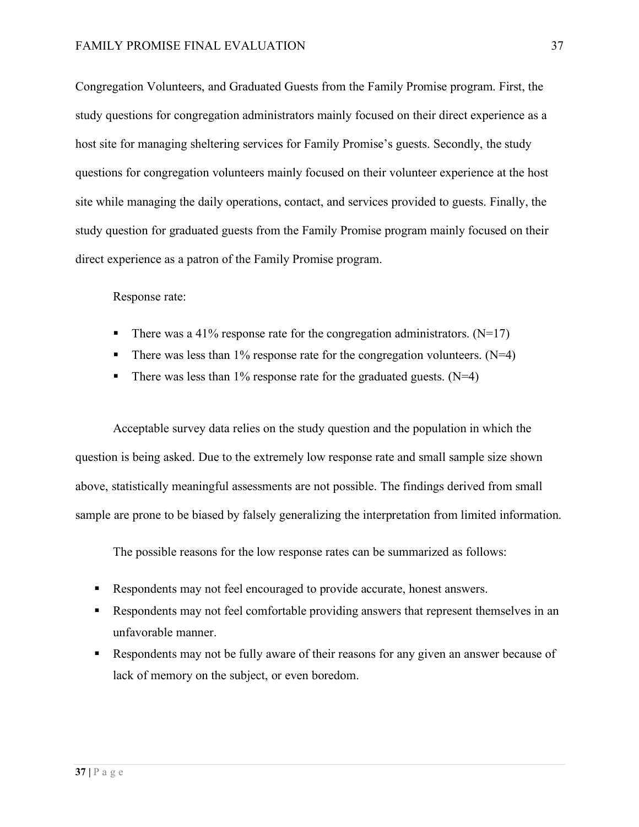Congregation Volunteers, and Graduated Guests from the Family Promise program. First, the study questions for congregation administrators mainly focused on their direct experience as a host site for managing sheltering services for Family Promise's guests. Secondly, the study questions for congregation volunteers mainly focused on their volunteer experience at the host site while managing the daily operations, contact, and services provided to guests. Finally, the study question for graduated guests from the Family Promise program mainly focused on their direct experience as a patron of the Family Promise program.

Response rate:

- There was a 41% response rate for the congregation administrators.  $(N=17)$
- There was less than  $1\%$  response rate for the congregation volunteers. (N=4)
- There was less than  $1\%$  response rate for the graduated guests. (N=4)

Acceptable survey data relies on the study question and the population in which the question is being asked. Due to the extremely low response rate and small sample size shown above, statistically meaningful assessments are not possible. The findings derived from small sample are prone to be biased by falsely generalizing the interpretation from limited information.

The possible reasons for the low response rates can be summarized as follows:

- § Respondents may not feel encouraged to provide accurate, honest answers.
- § Respondents may not feel comfortable providing answers that represent themselves in an unfavorable manner.
- Respondents may not be fully aware of their reasons for any given an answer because of lack of memory on the subject, or even boredom.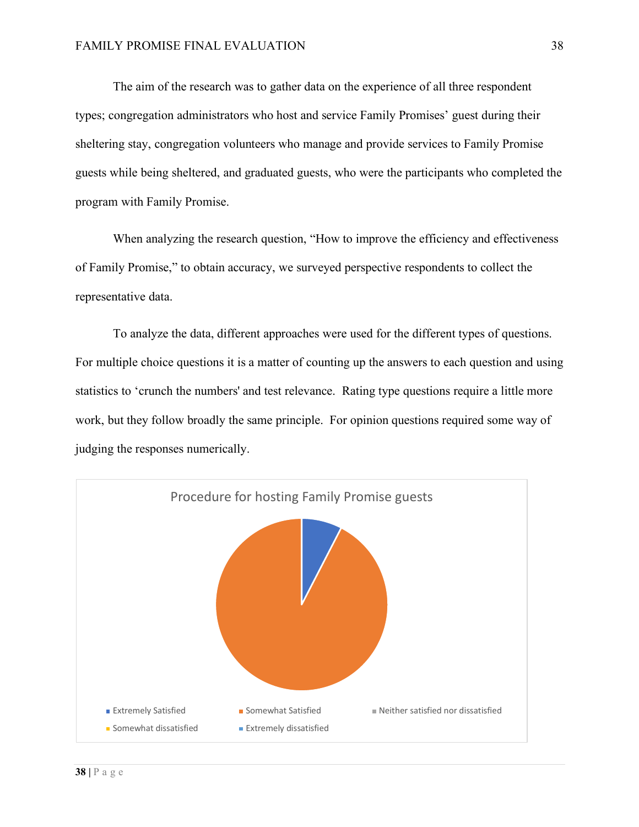The aim of the research was to gather data on the experience of all three respondent types; congregation administrators who host and service Family Promises' guest during their sheltering stay, congregation volunteers who manage and provide services to Family Promise guests while being sheltered, and graduated guests, who were the participants who completed the program with Family Promise.

When analyzing the research question, "How to improve the efficiency and effectiveness of Family Promise," to obtain accuracy, we surveyed perspective respondents to collect the representative data.

To analyze the data, different approaches were used for the different types of questions. For multiple choice questions it is a matter of counting up the answers to each question and using statistics to 'crunch the numbers' and test relevance. Rating type questions require a little more work, but they follow broadly the same principle. For opinion questions required some way of judging the responses numerically.

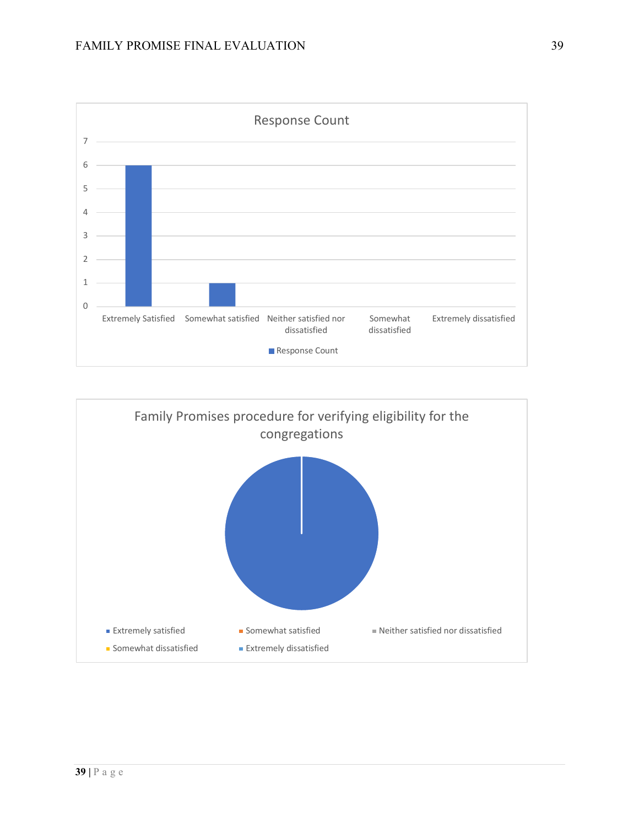



**39 |** Page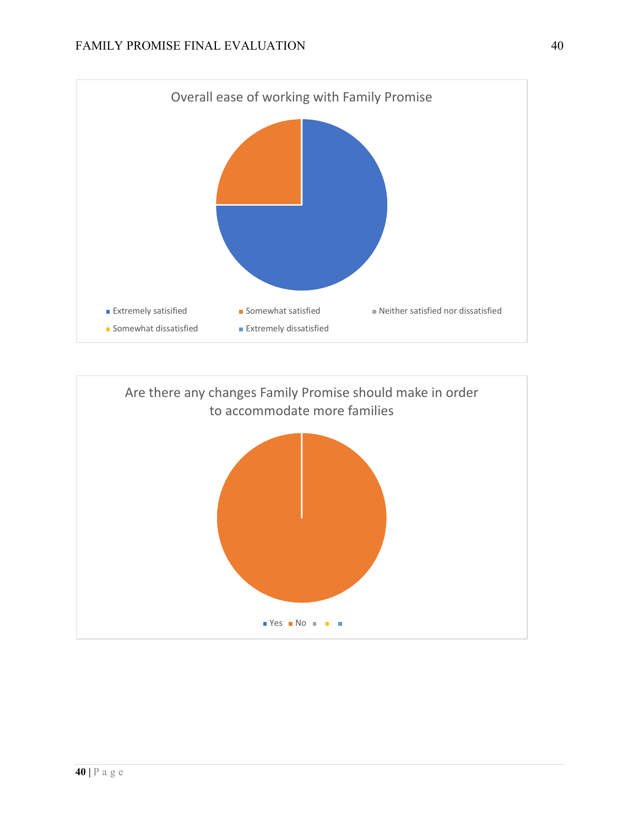

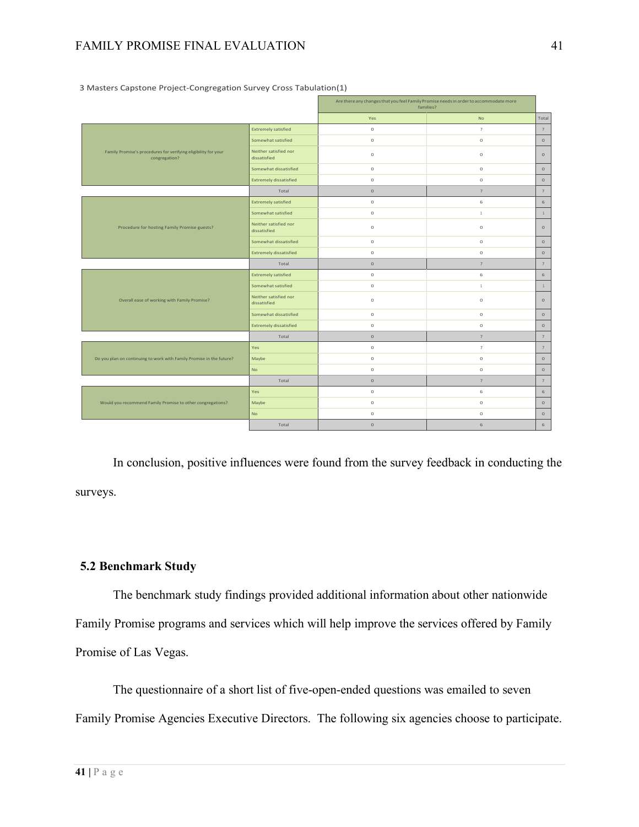## FAMILY PROMISE FINAL EVALUATION 41

|                                                                                 |                                       | Are there any changes that you feel Family Promise needs in order to accommodate more<br>families? |                          |                 |
|---------------------------------------------------------------------------------|---------------------------------------|----------------------------------------------------------------------------------------------------|--------------------------|-----------------|
|                                                                                 |                                       | Yes                                                                                                | <b>No</b>                | Total           |
| Family Promise's procedures for verifying eligibility for your<br>congregation? | <b>Extremely satisfied</b>            | $\circ$                                                                                            | $\scriptstyle{7}$        | $\overline{7}$  |
|                                                                                 | Somewhat satisfied                    | $\circ$                                                                                            | $\circ$                  | $\circ$         |
|                                                                                 | Neither satisfied nor<br>dissatisfied | $\circ$                                                                                            | $\circ$                  | $\circ$         |
|                                                                                 | Somewhat dissatisfied                 | $\circ$                                                                                            | $\circ$                  | $\circ$         |
|                                                                                 | <b>Extremely dissatisfied</b>         | $\circ$                                                                                            | $\circ$                  | $\circ$         |
|                                                                                 | Total                                 | $\mathsf{O}\xspace$                                                                                | 7                        | $\overline{7}$  |
| Procedure for hosting Family Promise guests?                                    | <b>Extremely satisfied</b>            | $\circ$                                                                                            | 6                        | $\,$ 6          |
|                                                                                 | Somewhat satisfied                    | $\circ$                                                                                            | $1\,$                    | $1\,$           |
|                                                                                 | Neither satisfied nor<br>dissatisfied | $\circ$                                                                                            | $\circ$                  | $\circ$         |
|                                                                                 | Somewhat dissatisfied                 | $\circ$                                                                                            | $\circ$                  | $\circ$         |
|                                                                                 | <b>Extremely dissatisfied</b>         | $\circ$                                                                                            | $\circ$                  | $\circ$         |
|                                                                                 | Total                                 | $\mathsf{O}\xspace$                                                                                | $\overline{7}$           | $\overline{7}$  |
| Overall ease of working with Family Promise?                                    | <b>Extremely satisfied</b>            | $\circ$                                                                                            | 6                        | $\,$ 6          |
|                                                                                 | Somewhat satisfied                    | $\circ$                                                                                            | $\mathbf{1}$             | $1\,$           |
|                                                                                 | Neither satisfied nor<br>dissatisfied | $\circ$                                                                                            | $\circ$                  | $\circ$         |
|                                                                                 | Somewhat dissatisfied                 | $\circ$                                                                                            | $\circ$                  | $\circ$         |
|                                                                                 | <b>Extremely dissatisfied</b>         | $\circ$                                                                                            | $\circ$                  | $\circ$         |
|                                                                                 | Total                                 | $\mathsf{O}\xspace$                                                                                | $\overline{7}$           | $7\phantom{.0}$ |
| Do you plan on continuing to work with Family Promise in the future?            | Yes                                   | $\circ$                                                                                            | $\tau$                   | $\overline{7}$  |
|                                                                                 | Maybe                                 | $\circ$                                                                                            | $\circ$                  | $\circ$         |
|                                                                                 | <b>No</b>                             | $\circ$                                                                                            | $\circ$                  | $\circ$         |
|                                                                                 | Total                                 | $\mathsf{O}\xspace$                                                                                | $\overline{\phantom{a}}$ | $\overline{7}$  |
| Would you recommend Family Promise to other congregations?                      | Yes                                   | $\circ$                                                                                            | 6                        | $\,$ 6          |
|                                                                                 | Maybe                                 | $\circ$                                                                                            | $\circ$                  | $\circ$         |
|                                                                                 | <b>No</b>                             | $\circ$                                                                                            | $\circ$                  | $\circ$         |
|                                                                                 | Total                                 | $\circ$                                                                                            | 6                        | 6               |

3 Masters Capstone Project-Congregation Survey Cross Tabulation(1)

In conclusion, positive influences were found from the survey feedback in conducting the surveys.

#### **5.2 Benchmark Study**

The benchmark study findings provided additional information about other nationwide Family Promise programs and services which will help improve the services offered by Family Promise of Las Vegas.

The questionnaire of a short list of five-open-ended questions was emailed to seven Family Promise Agencies Executive Directors. The following six agencies choose to participate.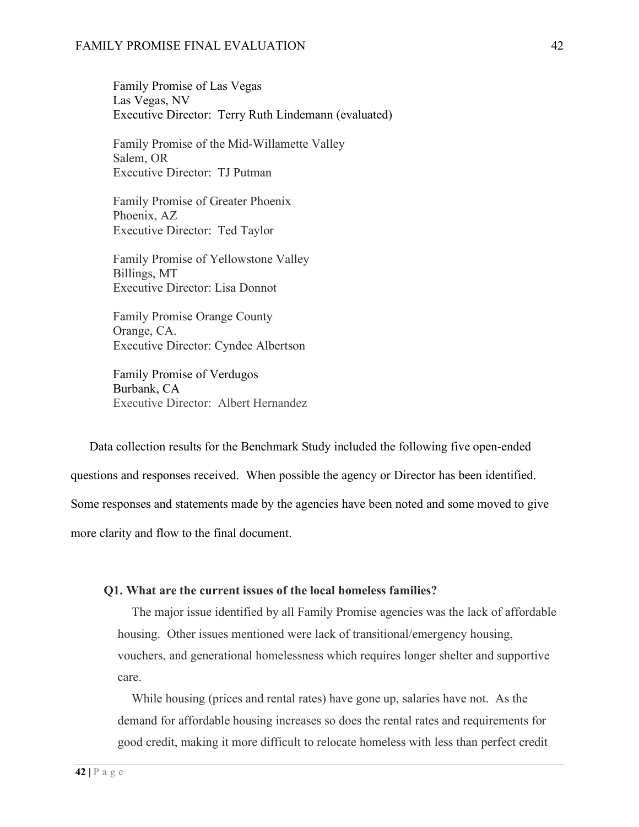Family Promise of Las Vegas Las Vegas, NV Executive Director: Terry Ruth Lindemann (evaluated)

Family Promise of the Mid-Willamette Valley Salem, OR Executive Director: TJ Putman

Family Promise of Greater Phoenix Phoenix, AZ Executive Director: Ted Taylor

Family Promise of Yellowstone Valley Billings, MT Executive Director: Lisa Donnot

Family Promise Orange County Orange, CA. Executive Director: Cyndee Albertson

Family Promise of Verdugos Burbank, CA Executive Director: Albert Hernandez

Data collection results for the Benchmark Study included the following five open-ended questions and responses received. When possible the agency or Director has been identified. Some responses and statements made by the agencies have been noted and some moved to give more clarity and flow to the final document.

#### **Q1. What are the current issues of the local homeless families?**

The major issue identified by all Family Promise agencies was the lack of affordable housing. Other issues mentioned were lack of transitional/emergency housing, vouchers, and generational homelessness which requires longer shelter and supportive care.

While housing (prices and rental rates) have gone up, salaries have not. As the demand for affordable housing increases so does the rental rates and requirements for good credit, making it more difficult to relocate homeless with less than perfect credit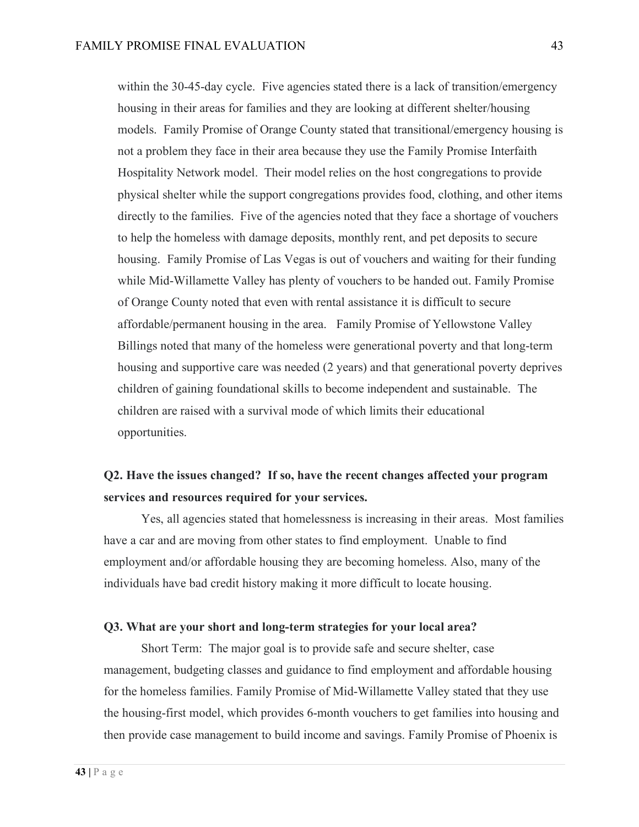within the 30-45-day cycle. Five agencies stated there is a lack of transition/emergency housing in their areas for families and they are looking at different shelter/housing models. Family Promise of Orange County stated that transitional/emergency housing is not a problem they face in their area because they use the Family Promise Interfaith Hospitality Network model. Their model relies on the host congregations to provide physical shelter while the support congregations provides food, clothing, and other items directly to the families. Five of the agencies noted that they face a shortage of vouchers to help the homeless with damage deposits, monthly rent, and pet deposits to secure housing. Family Promise of Las Vegas is out of vouchers and waiting for their funding while Mid-Willamette Valley has plenty of vouchers to be handed out. Family Promise of Orange County noted that even with rental assistance it is difficult to secure affordable/permanent housing in the area. Family Promise of Yellowstone Valley Billings noted that many of the homeless were generational poverty and that long-term housing and supportive care was needed (2 years) and that generational poverty deprives children of gaining foundational skills to become independent and sustainable. The children are raised with a survival mode of which limits their educational opportunities.

# **Q2. Have the issues changed? If so, have the recent changes affected your program services and resources required for your services.**

Yes, all agencies stated that homelessness is increasing in their areas. Most families have a car and are moving from other states to find employment. Unable to find employment and/or affordable housing they are becoming homeless. Also, many of the individuals have bad credit history making it more difficult to locate housing.

#### **Q3. What are your short and long-term strategies for your local area?**

Short Term: The major goal is to provide safe and secure shelter, case management, budgeting classes and guidance to find employment and affordable housing for the homeless families. Family Promise of Mid-Willamette Valley stated that they use the housing-first model, which provides 6-month vouchers to get families into housing and then provide case management to build income and savings. Family Promise of Phoenix is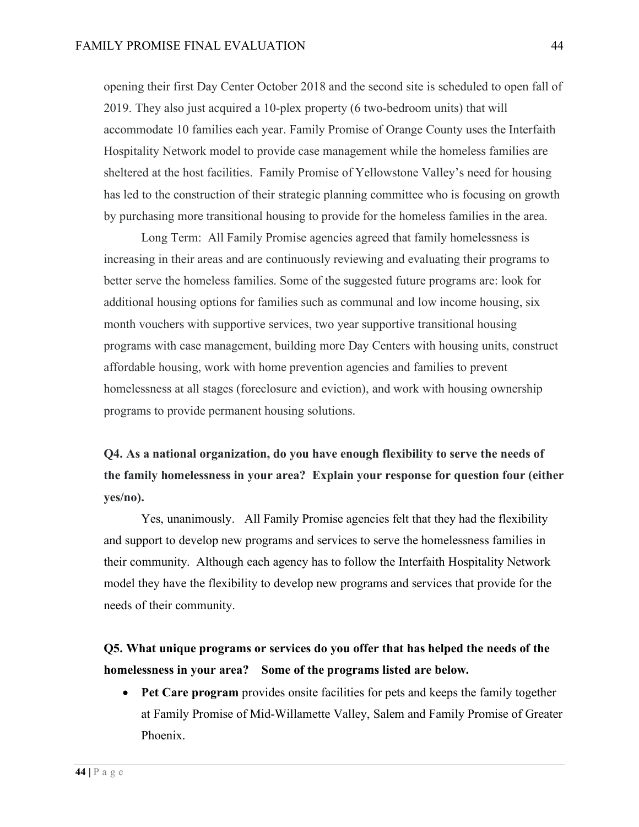opening their first Day Center October 2018 and the second site is scheduled to open fall of 2019. They also just acquired a 10-plex property (6 two-bedroom units) that will accommodate 10 families each year. Family Promise of Orange County uses the Interfaith Hospitality Network model to provide case management while the homeless families are sheltered at the host facilities. Family Promise of Yellowstone Valley's need for housing has led to the construction of their strategic planning committee who is focusing on growth by purchasing more transitional housing to provide for the homeless families in the area.

Long Term: All Family Promise agencies agreed that family homelessness is increasing in their areas and are continuously reviewing and evaluating their programs to better serve the homeless families. Some of the suggested future programs are: look for additional housing options for families such as communal and low income housing, six month vouchers with supportive services, two year supportive transitional housing programs with case management, building more Day Centers with housing units, construct affordable housing, work with home prevention agencies and families to prevent homelessness at all stages (foreclosure and eviction), and work with housing ownership programs to provide permanent housing solutions.

# **Q4. As a national organization, do you have enough flexibility to serve the needs of the family homelessness in your area? Explain your response for question four (either yes/no).**

Yes, unanimously. All Family Promise agencies felt that they had the flexibility and support to develop new programs and services to serve the homelessness families in their community. Although each agency has to follow the Interfaith Hospitality Network model they have the flexibility to develop new programs and services that provide for the needs of their community.

# **Q5. What unique programs or services do you offer that has helped the needs of the homelessness in your area? Some of the programs listed are below.**

• **Pet Care program** provides onsite facilities for pets and keeps the family together at Family Promise of Mid-Willamette Valley, Salem and Family Promise of Greater Phoenix.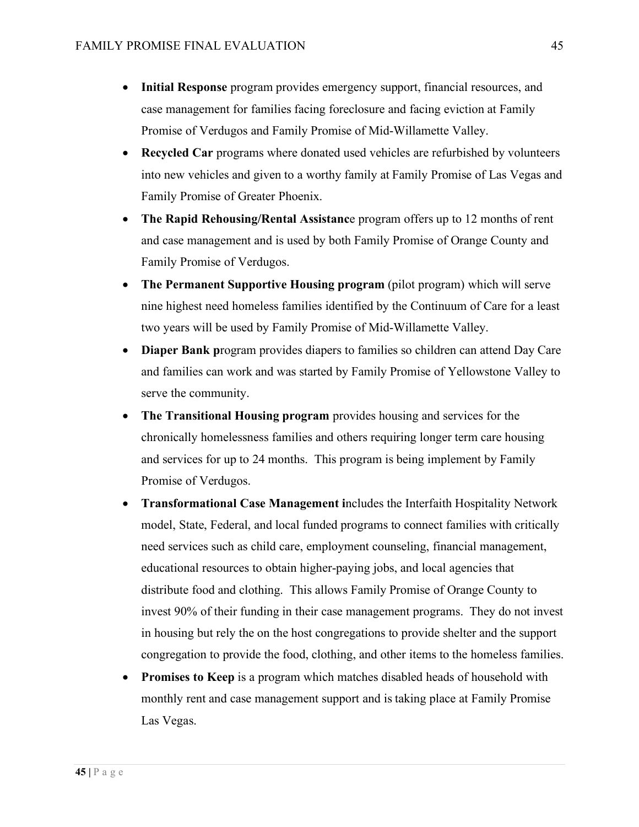- **Initial Response** program provides emergency support, financial resources, and case management for families facing foreclosure and facing eviction at Family Promise of Verdugos and Family Promise of Mid-Willamette Valley.
- **Recycled Car** programs where donated used vehicles are refurbished by volunteers into new vehicles and given to a worthy family at Family Promise of Las Vegas and Family Promise of Greater Phoenix.
- **The Rapid Rehousing/Rental Assistanc**e program offers up to 12 months of rent and case management and is used by both Family Promise of Orange County and Family Promise of Verdugos.
- **The Permanent Supportive Housing program** (pilot program) which will serve nine highest need homeless families identified by the Continuum of Care for a least two years will be used by Family Promise of Mid-Willamette Valley.
- **Diaper Bank program provides diapers to families so children can attend Day Care** and families can work and was started by Family Promise of Yellowstone Valley to serve the community.
- **The Transitional Housing program** provides housing and services for the chronically homelessness families and others requiring longer term care housing and services for up to 24 months. This program is being implement by Family Promise of Verdugos.
- **Transformational Case Management i**ncludes the Interfaith Hospitality Network model, State, Federal, and local funded programs to connect families with critically need services such as child care, employment counseling, financial management, educational resources to obtain higher-paying jobs, and local agencies that distribute food and clothing. This allows Family Promise of Orange County to invest 90% of their funding in their case management programs. They do not invest in housing but rely the on the host congregations to provide shelter and the support congregation to provide the food, clothing, and other items to the homeless families.
- **Promises to Keep** is a program which matches disabled heads of household with monthly rent and case management support and is taking place at Family Promise Las Vegas.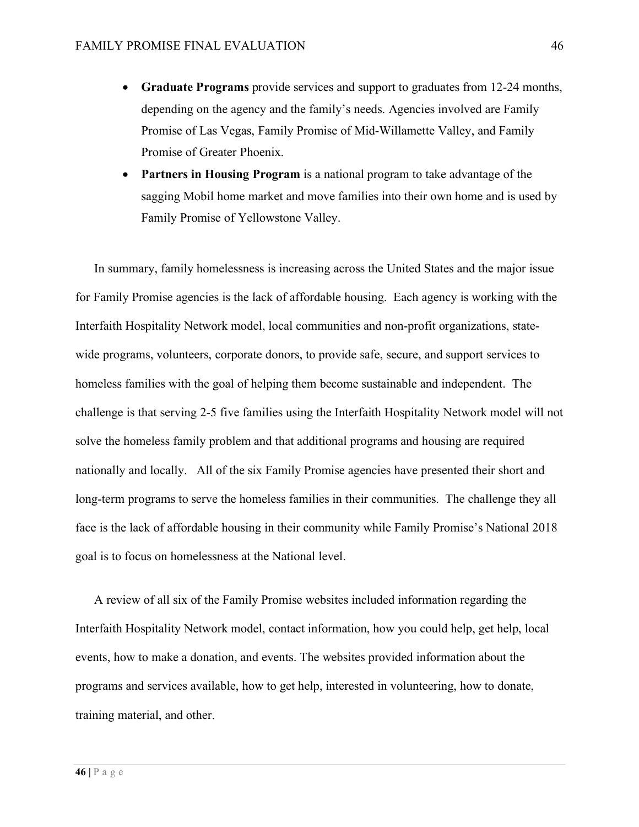- **Graduate Programs** provide services and support to graduates from 12-24 months, depending on the agency and the family's needs. Agencies involved are Family Promise of Las Vegas, Family Promise of Mid-Willamette Valley, and Family Promise of Greater Phoenix.
- **Partners in Housing Program** is a national program to take advantage of the sagging Mobil home market and move families into their own home and is used by Family Promise of Yellowstone Valley.

In summary, family homelessness is increasing across the United States and the major issue for Family Promise agencies is the lack of affordable housing. Each agency is working with the Interfaith Hospitality Network model, local communities and non-profit organizations, statewide programs, volunteers, corporate donors, to provide safe, secure, and support services to homeless families with the goal of helping them become sustainable and independent. The challenge is that serving 2-5 five families using the Interfaith Hospitality Network model will not solve the homeless family problem and that additional programs and housing are required nationally and locally. All of the six Family Promise agencies have presented their short and long-term programs to serve the homeless families in their communities. The challenge they all face is the lack of affordable housing in their community while Family Promise's National 2018 goal is to focus on homelessness at the National level.

A review of all six of the Family Promise websites included information regarding the Interfaith Hospitality Network model, contact information, how you could help, get help, local events, how to make a donation, and events. The websites provided information about the programs and services available, how to get help, interested in volunteering, how to donate, training material, and other.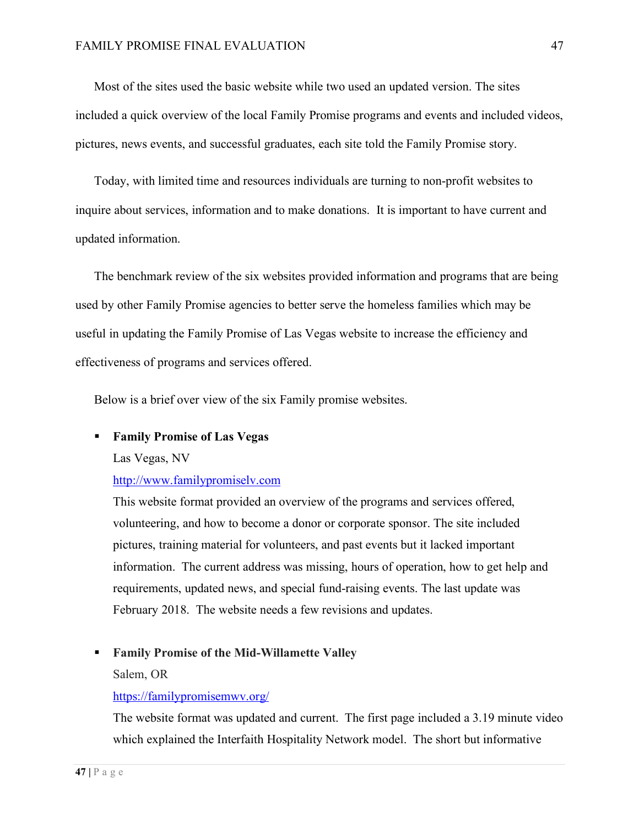Most of the sites used the basic website while two used an updated version. The sites included a quick overview of the local Family Promise programs and events and included videos, pictures, news events, and successful graduates, each site told the Family Promise story.

Today, with limited time and resources individuals are turning to non-profit websites to inquire about services, information and to make donations. It is important to have current and updated information.

The benchmark review of the six websites provided information and programs that are being used by other Family Promise agencies to better serve the homeless families which may be useful in updating the Family Promise of Las Vegas website to increase the efficiency and effectiveness of programs and services offered.

Below is a brief over view of the six Family promise websites.

#### § **Family Promise of Las Vegas**

Las Vegas, NV

#### http://www.familypromiselv.com

This website format provided an overview of the programs and services offered, volunteering, and how to become a donor or corporate sponsor. The site included pictures, training material for volunteers, and past events but it lacked important information. The current address was missing, hours of operation, how to get help and requirements, updated news, and special fund-raising events. The last update was February 2018. The website needs a few revisions and updates.

#### § **Family Promise of the Mid-Willamette Valley**

Salem, OR

#### https://familypromisemwv.org/

The website format was updated and current. The first page included a 3.19 minute video which explained the Interfaith Hospitality Network model. The short but informative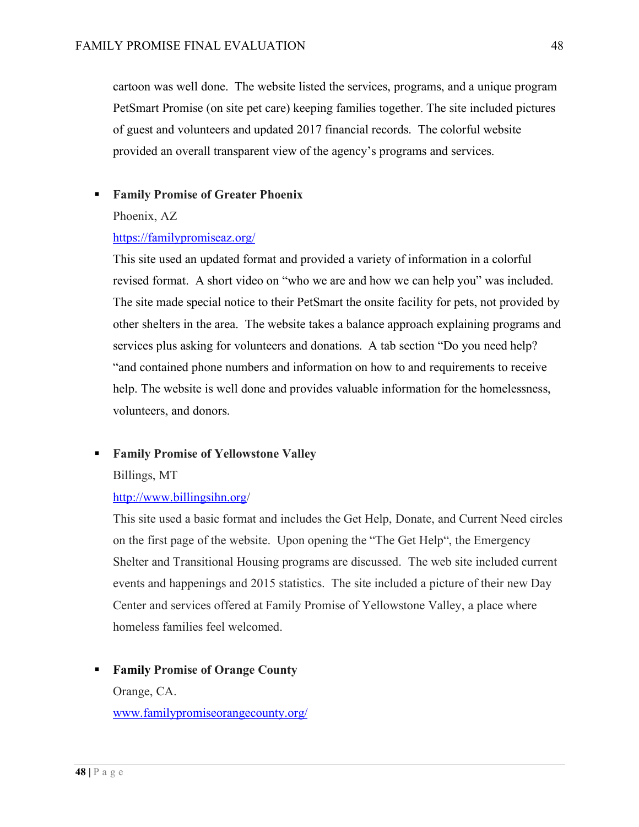cartoon was well done. The website listed the services, programs, and a unique program PetSmart Promise (on site pet care) keeping families together. The site included pictures of guest and volunteers and updated 2017 financial records. The colorful website provided an overall transparent view of the agency's programs and services.

### § **Family Promise of Greater Phoenix**

Phoenix, AZ

#### https://familypromiseaz.org/

This site used an updated format and provided a variety of information in a colorful revised format. A short video on "who we are and how we can help you" was included. The site made special notice to their PetSmart the onsite facility for pets, not provided by other shelters in the area. The website takes a balance approach explaining programs and services plus asking for volunteers and donations. A tab section "Do you need help? "and contained phone numbers and information on how to and requirements to receive help. The website is well done and provides valuable information for the homelessness, volunteers, and donors.

#### ■ **Family Promise of Yellowstone Valley**

Billings, MT

## http://www.billingsihn.org/

This site used a basic format and includes the Get Help, Donate, and Current Need circles on the first page of the website. Upon opening the "The Get Help", the Emergency Shelter and Transitional Housing programs are discussed. The web site included current events and happenings and 2015 statistics. The site included a picture of their new Day Center and services offered at Family Promise of Yellowstone Valley, a place where homeless families feel welcomed.

# § **Family Promise of Orange County** Orange, CA. www.familypromiseorangecounty.org/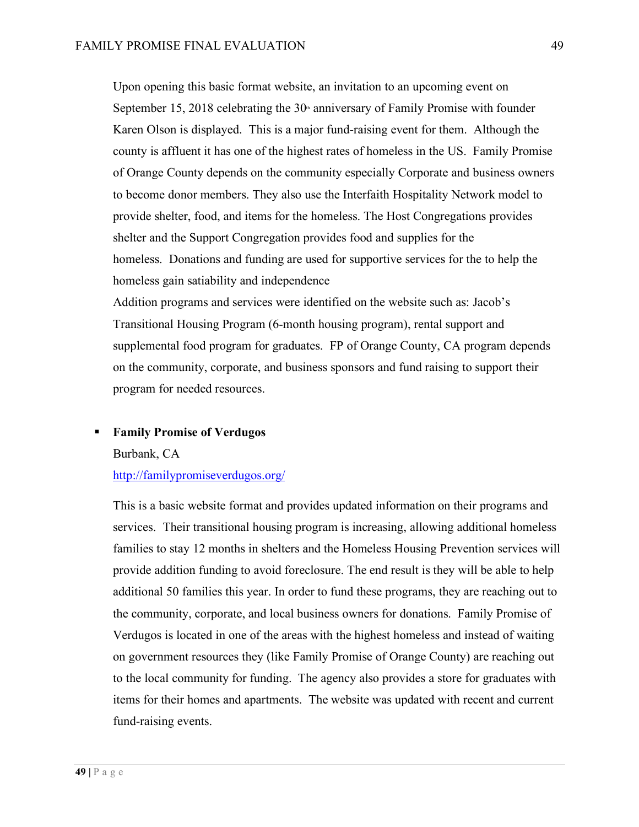Upon opening this basic format website, an invitation to an upcoming event on September 15, 2018 celebrating the  $30<sup>th</sup>$  anniversary of Family Promise with founder Karen Olson is displayed. This is a major fund-raising event for them. Although the county is affluent it has one of the highest rates of homeless in the US. Family Promise of Orange County depends on the community especially Corporate and business owners to become donor members. They also use the Interfaith Hospitality Network model to provide shelter, food, and items for the homeless. The Host Congregations provides shelter and the Support Congregation provides food and supplies for the homeless. Donations and funding are used for supportive services for the to help the homeless gain satiability and independence

Addition programs and services were identified on the website such as: Jacob's Transitional Housing Program (6-month housing program), rental support and supplemental food program for graduates. FP of Orange County, CA program depends on the community, corporate, and business sponsors and fund raising to support their program for needed resources.

#### § **Family Promise of Verdugos**

Burbank, CA

http://familypromiseverdugos.org/

This is a basic website format and provides updated information on their programs and services. Their transitional housing program is increasing, allowing additional homeless families to stay 12 months in shelters and the Homeless Housing Prevention services will provide addition funding to avoid foreclosure. The end result is they will be able to help additional 50 families this year. In order to fund these programs, they are reaching out to the community, corporate, and local business owners for donations. Family Promise of Verdugos is located in one of the areas with the highest homeless and instead of waiting on government resources they (like Family Promise of Orange County) are reaching out to the local community for funding. The agency also provides a store for graduates with items for their homes and apartments. The website was updated with recent and current fund-raising events.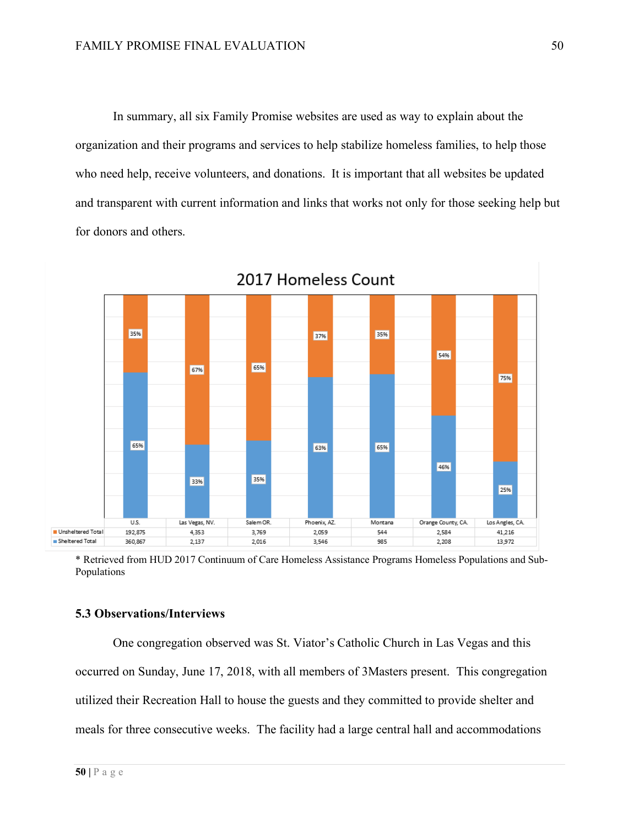In summary, all six Family Promise websites are used as way to explain about the organization and their programs and services to help stabilize homeless families, to help those who need help, receive volunteers, and donations. It is important that all websites be updated and transparent with current information and links that works not only for those seeking help but for donors and others.



\* Retrieved from HUD 2017 Continuum of Care Homeless Assistance Programs Homeless Populations and Sub-Populations

#### **5.3 Observations/Interviews**

One congregation observed was St. Viator's Catholic Church in Las Vegas and this occurred on Sunday, June 17, 2018, with all members of 3Masters present. This congregation utilized their Recreation Hall to house the guests and they committed to provide shelter and meals for three consecutive weeks. The facility had a large central hall and accommodations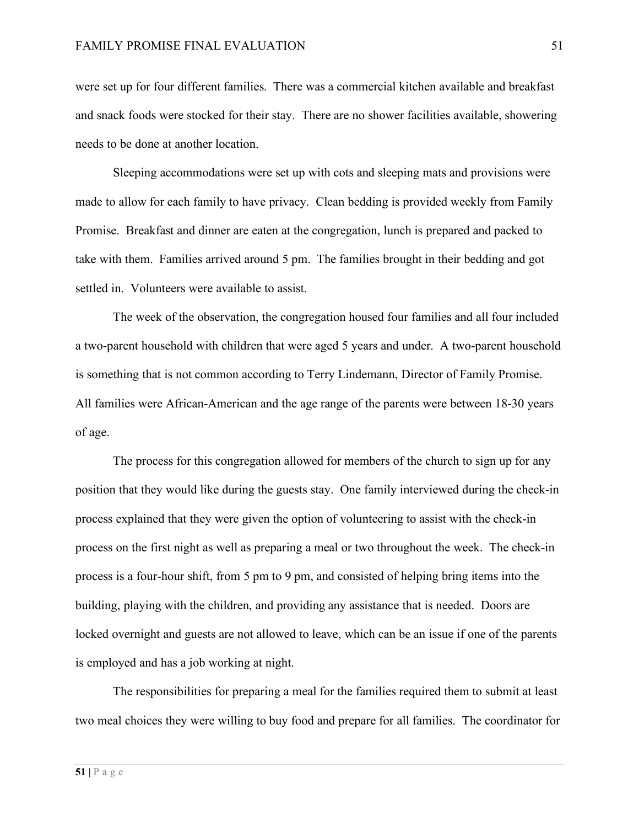were set up for four different families. There was a commercial kitchen available and breakfast and snack foods were stocked for their stay. There are no shower facilities available, showering needs to be done at another location.

Sleeping accommodations were set up with cots and sleeping mats and provisions were made to allow for each family to have privacy. Clean bedding is provided weekly from Family Promise. Breakfast and dinner are eaten at the congregation, lunch is prepared and packed to take with them. Families arrived around 5 pm. The families brought in their bedding and got settled in. Volunteers were available to assist.

The week of the observation, the congregation housed four families and all four included a two-parent household with children that were aged 5 years and under. A two-parent household is something that is not common according to Terry Lindemann, Director of Family Promise. All families were African-American and the age range of the parents were between 18-30 years of age.

The process for this congregation allowed for members of the church to sign up for any position that they would like during the guests stay. One family interviewed during the check-in process explained that they were given the option of volunteering to assist with the check-in process on the first night as well as preparing a meal or two throughout the week. The check-in process is a four-hour shift, from 5 pm to 9 pm, and consisted of helping bring items into the building, playing with the children, and providing any assistance that is needed. Doors are locked overnight and guests are not allowed to leave, which can be an issue if one of the parents is employed and has a job working at night.

The responsibilities for preparing a meal for the families required them to submit at least two meal choices they were willing to buy food and prepare for all families. The coordinator for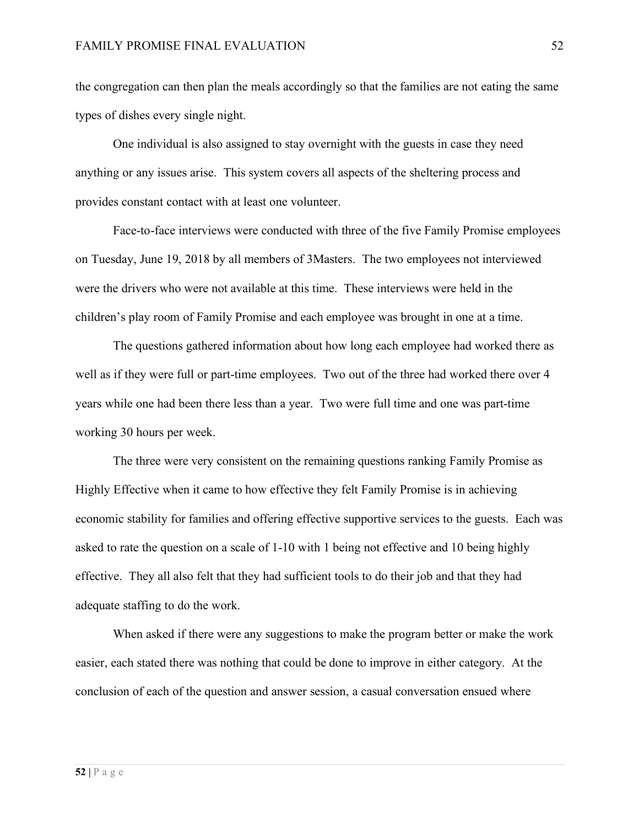the congregation can then plan the meals accordingly so that the families are not eating the same types of dishes every single night.

One individual is also assigned to stay overnight with the guests in case they need anything or any issues arise. This system covers all aspects of the sheltering process and provides constant contact with at least one volunteer.

Face-to-face interviews were conducted with three of the five Family Promise employees on Tuesday, June 19, 2018 by all members of 3Masters. The two employees not interviewed were the drivers who were not available at this time. These interviews were held in the children's play room of Family Promise and each employee was brought in one at a time.

The questions gathered information about how long each employee had worked there as well as if they were full or part-time employees. Two out of the three had worked there over 4 years while one had been there less than a year. Two were full time and one was part-time working 30 hours per week.

The three were very consistent on the remaining questions ranking Family Promise as Highly Effective when it came to how effective they felt Family Promise is in achieving economic stability for families and offering effective supportive services to the guests. Each was asked to rate the question on a scale of 1-10 with 1 being not effective and 10 being highly effective. They all also felt that they had sufficient tools to do their job and that they had adequate staffing to do the work.

When asked if there were any suggestions to make the program better or make the work easier, each stated there was nothing that could be done to improve in either category. At the conclusion of each of the question and answer session, a casual conversation ensued where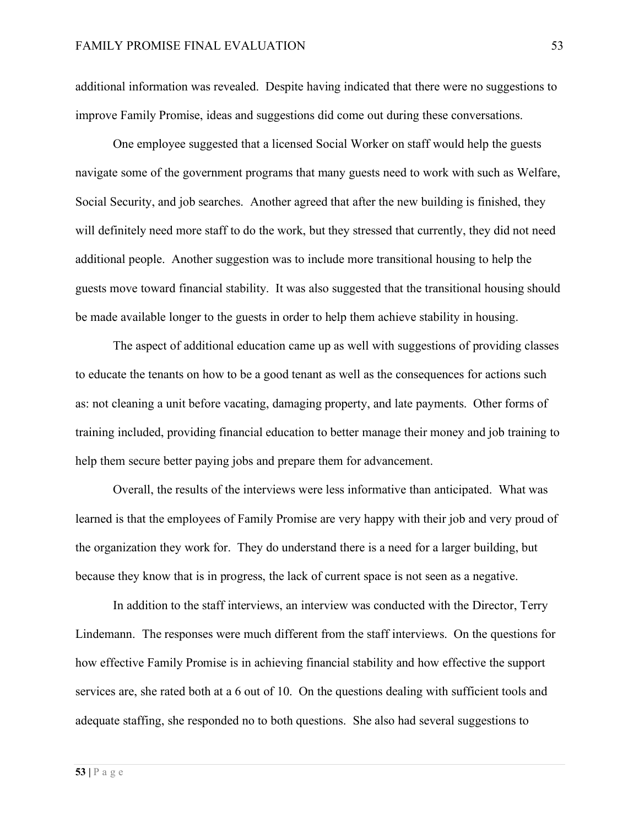additional information was revealed. Despite having indicated that there were no suggestions to improve Family Promise, ideas and suggestions did come out during these conversations.

One employee suggested that a licensed Social Worker on staff would help the guests navigate some of the government programs that many guests need to work with such as Welfare, Social Security, and job searches. Another agreed that after the new building is finished, they will definitely need more staff to do the work, but they stressed that currently, they did not need additional people. Another suggestion was to include more transitional housing to help the guests move toward financial stability. It was also suggested that the transitional housing should be made available longer to the guests in order to help them achieve stability in housing.

The aspect of additional education came up as well with suggestions of providing classes to educate the tenants on how to be a good tenant as well as the consequences for actions such as: not cleaning a unit before vacating, damaging property, and late payments. Other forms of training included, providing financial education to better manage their money and job training to help them secure better paying jobs and prepare them for advancement.

Overall, the results of the interviews were less informative than anticipated. What was learned is that the employees of Family Promise are very happy with their job and very proud of the organization they work for. They do understand there is a need for a larger building, but because they know that is in progress, the lack of current space is not seen as a negative.

In addition to the staff interviews, an interview was conducted with the Director, Terry Lindemann. The responses were much different from the staff interviews. On the questions for how effective Family Promise is in achieving financial stability and how effective the support services are, she rated both at a 6 out of 10. On the questions dealing with sufficient tools and adequate staffing, she responded no to both questions. She also had several suggestions to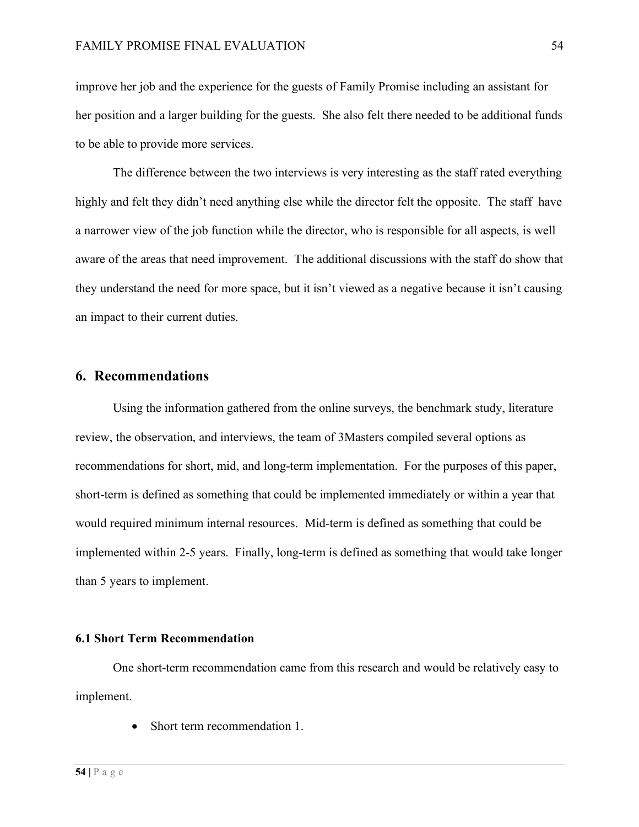improve her job and the experience for the guests of Family Promise including an assistant for her position and a larger building for the guests. She also felt there needed to be additional funds to be able to provide more services.

The difference between the two interviews is very interesting as the staff rated everything highly and felt they didn't need anything else while the director felt the opposite. The staff have a narrower view of the job function while the director, who is responsible for all aspects, is well aware of the areas that need improvement. The additional discussions with the staff do show that they understand the need for more space, but it isn't viewed as a negative because it isn't causing an impact to their current duties.

## **6. Recommendations**

Using the information gathered from the online surveys, the benchmark study, literature review, the observation, and interviews, the team of 3Masters compiled several options as recommendations for short, mid, and long-term implementation. For the purposes of this paper, short-term is defined as something that could be implemented immediately or within a year that would required minimum internal resources. Mid-term is defined as something that could be implemented within 2-5 years. Finally, long-term is defined as something that would take longer than 5 years to implement.

#### **6.1 Short Term Recommendation**

One short-term recommendation came from this research and would be relatively easy to implement.

• Short term recommendation 1.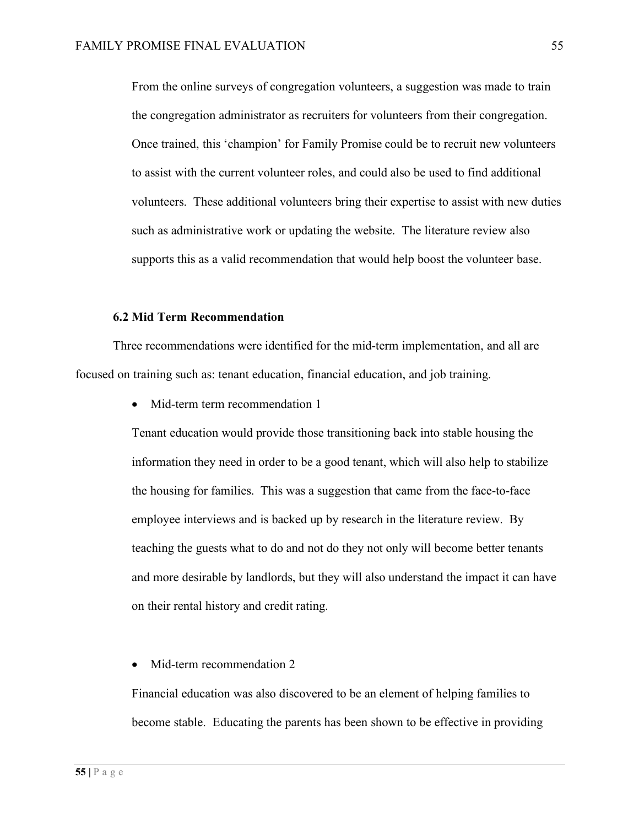From the online surveys of congregation volunteers, a suggestion was made to train the congregation administrator as recruiters for volunteers from their congregation. Once trained, this 'champion' for Family Promise could be to recruit new volunteers to assist with the current volunteer roles, and could also be used to find additional volunteers. These additional volunteers bring their expertise to assist with new duties such as administrative work or updating the website. The literature review also supports this as a valid recommendation that would help boost the volunteer base.

#### **6.2 Mid Term Recommendation**

Three recommendations were identified for the mid-term implementation, and all are focused on training such as: tenant education, financial education, and job training.

• Mid-term term recommendation 1

Tenant education would provide those transitioning back into stable housing the information they need in order to be a good tenant, which will also help to stabilize the housing for families. This was a suggestion that came from the face-to-face employee interviews and is backed up by research in the literature review. By teaching the guests what to do and not do they not only will become better tenants and more desirable by landlords, but they will also understand the impact it can have on their rental history and credit rating.

#### • Mid-term recommendation 2

Financial education was also discovered to be an element of helping families to become stable. Educating the parents has been shown to be effective in providing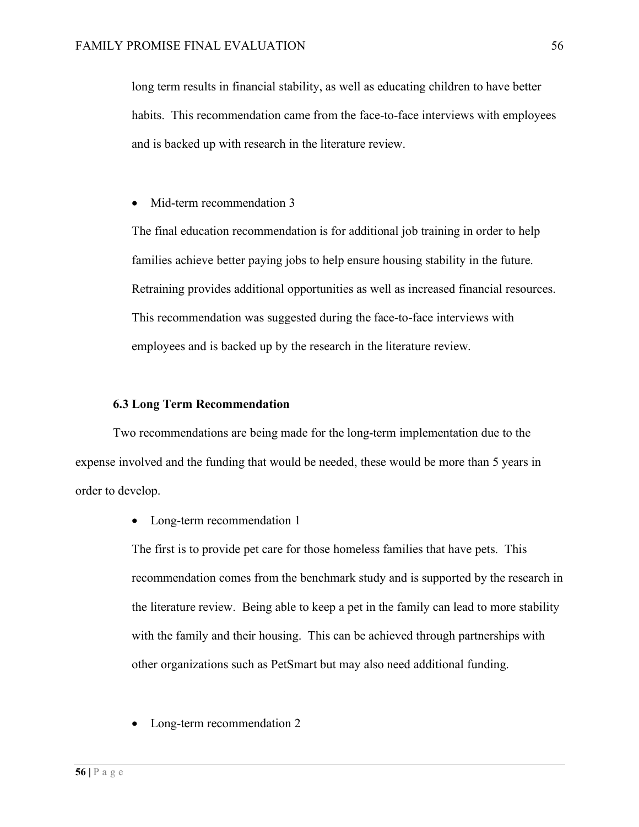long term results in financial stability, as well as educating children to have better habits. This recommendation came from the face-to-face interviews with employees and is backed up with research in the literature review.

• Mid-term recommendation 3

The final education recommendation is for additional job training in order to help families achieve better paying jobs to help ensure housing stability in the future. Retraining provides additional opportunities as well as increased financial resources. This recommendation was suggested during the face-to-face interviews with employees and is backed up by the research in the literature review.

#### **6.3 Long Term Recommendation**

Two recommendations are being made for the long-term implementation due to the expense involved and the funding that would be needed, these would be more than 5 years in order to develop.

• Long-term recommendation 1

The first is to provide pet care for those homeless families that have pets. This recommendation comes from the benchmark study and is supported by the research in the literature review. Being able to keep a pet in the family can lead to more stability with the family and their housing. This can be achieved through partnerships with other organizations such as PetSmart but may also need additional funding.

• Long-term recommendation 2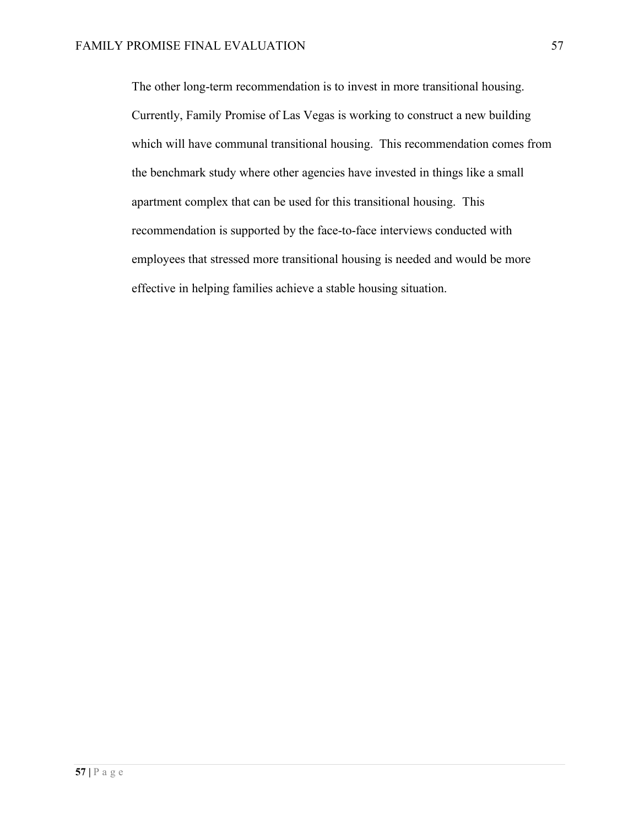The other long-term recommendation is to invest in more transitional housing. Currently, Family Promise of Las Vegas is working to construct a new building which will have communal transitional housing. This recommendation comes from the benchmark study where other agencies have invested in things like a small apartment complex that can be used for this transitional housing. This recommendation is supported by the face-to-face interviews conducted with employees that stressed more transitional housing is needed and would be more effective in helping families achieve a stable housing situation.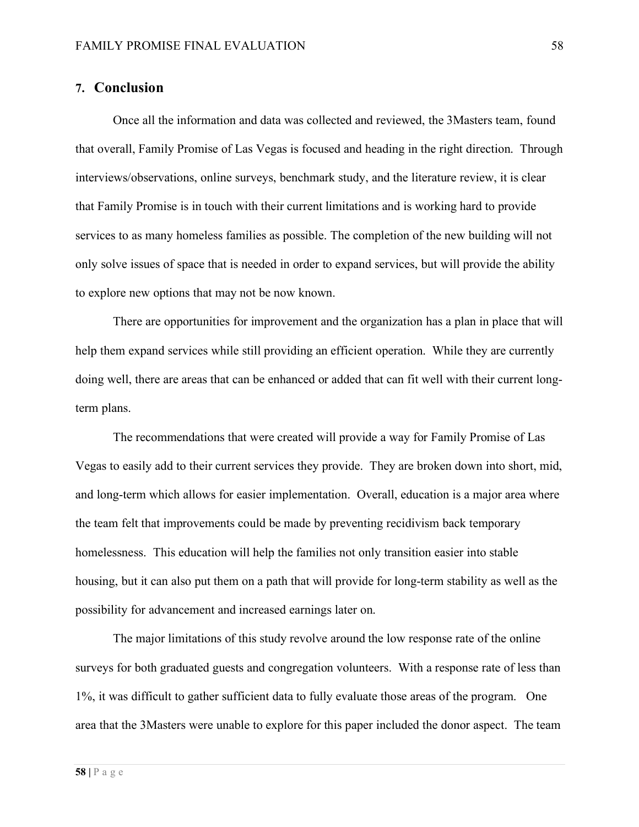### **7. Conclusion**

Once all the information and data was collected and reviewed, the 3Masters team, found that overall, Family Promise of Las Vegas is focused and heading in the right direction. Through interviews/observations, online surveys, benchmark study, and the literature review, it is clear that Family Promise is in touch with their current limitations and is working hard to provide services to as many homeless families as possible. The completion of the new building will not only solve issues of space that is needed in order to expand services, but will provide the ability to explore new options that may not be now known.

There are opportunities for improvement and the organization has a plan in place that will help them expand services while still providing an efficient operation. While they are currently doing well, there are areas that can be enhanced or added that can fit well with their current longterm plans.

The recommendations that were created will provide a way for Family Promise of Las Vegas to easily add to their current services they provide. They are broken down into short, mid, and long-term which allows for easier implementation. Overall, education is a major area where the team felt that improvements could be made by preventing recidivism back temporary homelessness. This education will help the families not only transition easier into stable housing, but it can also put them on a path that will provide for long-term stability as well as the possibility for advancement and increased earnings later on.

The major limitations of this study revolve around the low response rate of the online surveys for both graduated guests and congregation volunteers. With a response rate of less than 1%, it was difficult to gather sufficient data to fully evaluate those areas of the program. One area that the 3Masters were unable to explore for this paper included the donor aspect. The team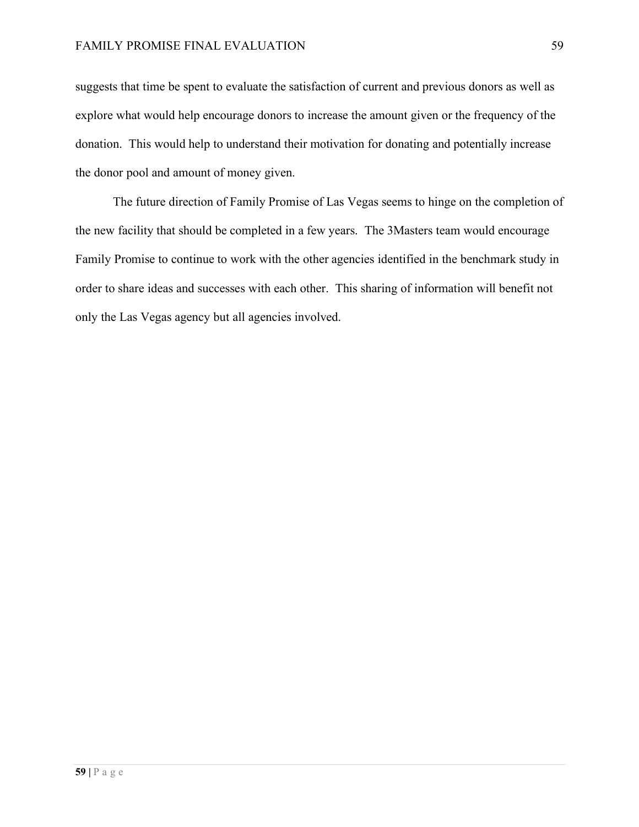suggests that time be spent to evaluate the satisfaction of current and previous donors as well as explore what would help encourage donors to increase the amount given or the frequency of the donation. This would help to understand their motivation for donating and potentially increase the donor pool and amount of money given.

The future direction of Family Promise of Las Vegas seems to hinge on the completion of the new facility that should be completed in a few years. The 3Masters team would encourage Family Promise to continue to work with the other agencies identified in the benchmark study in order to share ideas and successes with each other. This sharing of information will benefit not only the Las Vegas agency but all agencies involved.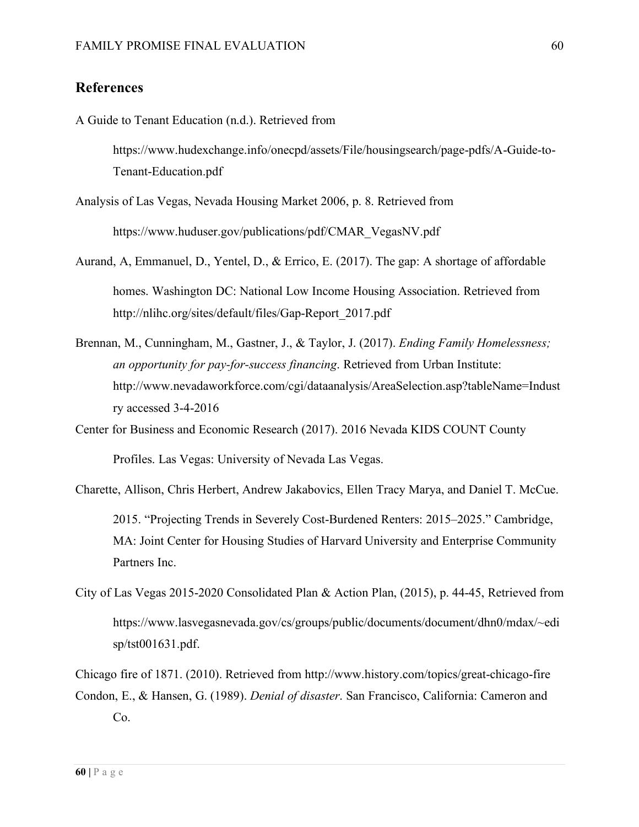## **References**

A Guide to Tenant Education (n.d.). Retrieved from

https://www.hudexchange.info/onecpd/assets/File/housingsearch/page-pdfs/A-Guide-to-Tenant-Education.pdf

Analysis of Las Vegas, Nevada Housing Market 2006, p. 8. Retrieved from https://www.huduser.gov/publications/pdf/CMAR\_VegasNV.pdf

- Aurand, A, Emmanuel, D., Yentel, D., & Errico, E. (2017). The gap: A shortage of affordable homes. Washington DC: National Low Income Housing Association. Retrieved from http://nlihc.org/sites/default/files/Gap-Report\_2017.pdf
- Brennan, M., Cunningham, M., Gastner, J., & Taylor, J. (2017). *Ending Family Homelessness; an opportunity for pay-for-success financing*. Retrieved from Urban Institute: http://www.nevadaworkforce.com/cgi/dataanalysis/AreaSelection.asp?tableName=Indust ry accessed 3-4-2016
- Center for Business and Economic Research (2017). 2016 Nevada KIDS COUNT County Profiles. Las Vegas: University of Nevada Las Vegas.
- Charette, Allison, Chris Herbert, Andrew Jakabovics, Ellen Tracy Marya, and Daniel T. McCue. 2015. "Projecting Trends in Severely Cost-Burdened Renters: 2015–2025." Cambridge, MA: Joint Center for Housing Studies of Harvard University and Enterprise Community Partners Inc.
- City of Las Vegas 2015-2020 Consolidated Plan & Action Plan, (2015), p. 44-45, Retrieved from https://www.lasvegasnevada.gov/cs/groups/public/documents/document/dhn0/mdax/~edi sp/tst001631.pdf.

Chicago fire of 1871. (2010). Retrieved from http://www.history.com/topics/great-chicago-fire Condon, E., & Hansen, G. (1989). *Denial of disaster*. San Francisco, California: Cameron and Co.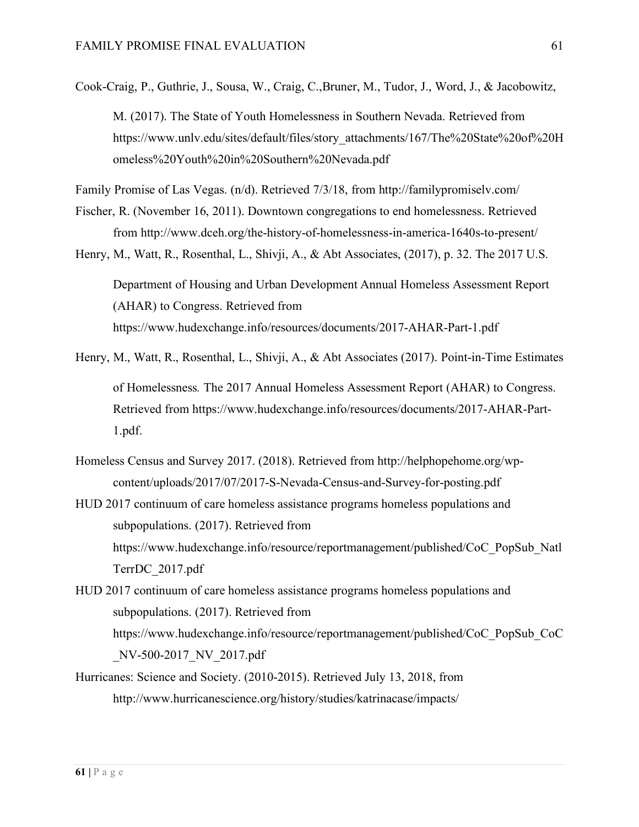Cook-Craig, P., Guthrie, J., Sousa, W., Craig, C.,Bruner, M., Tudor, J., Word, J., & Jacobowitz, M. (2017). The State of Youth Homelessness in Southern Nevada. Retrieved from https://www.unlv.edu/sites/default/files/story\_attachments/167/The%20State%20of%20H omeless%20Youth%20in%20Southern%20Nevada.pdf

Family Promise of Las Vegas. (n/d). Retrieved 7/3/18, from http://familypromiselv.com/

- Fischer, R. (November 16, 2011). Downtown congregations to end homelessness. Retrieved from http://www.dceh.org/the-history-of-homelessness-in-america-1640s-to-present/
- Henry, M., Watt, R., Rosenthal, L., Shivji, A., & Abt Associates, (2017), p. 32. The 2017 U.S. Department of Housing and Urban Development Annual Homeless Assessment Report (AHAR) to Congress. Retrieved from https://www.hudexchange.info/resources/documents/2017-AHAR-Part-1.pdf
- Henry, M., Watt, R., Rosenthal, L., Shivji, A., & Abt Associates (2017). Point-in-Time Estimates of Homelessness*.* The 2017 Annual Homeless Assessment Report (AHAR) to Congress. Retrieved from https://www.hudexchange.info/resources/documents/2017-AHAR-Part-1.pdf.
- Homeless Census and Survey 2017. (2018). Retrieved from http://helphopehome.org/wpcontent/uploads/2017/07/2017-S-Nevada-Census-and-Survey-for-posting.pdf
- HUD 2017 continuum of care homeless assistance programs homeless populations and subpopulations. (2017). Retrieved from https://www.hudexchange.info/resource/reportmanagement/published/CoC\_PopSub\_Natl TerrDC\_2017.pdf
- HUD 2017 continuum of care homeless assistance programs homeless populations and subpopulations. (2017). Retrieved from https://www.hudexchange.info/resource/reportmanagement/published/CoC\_PopSub\_CoC \_NV-500-2017\_NV\_2017.pdf
- Hurricanes: Science and Society. (2010-2015). Retrieved July 13, 2018, from http://www.hurricanescience.org/history/studies/katrinacase/impacts/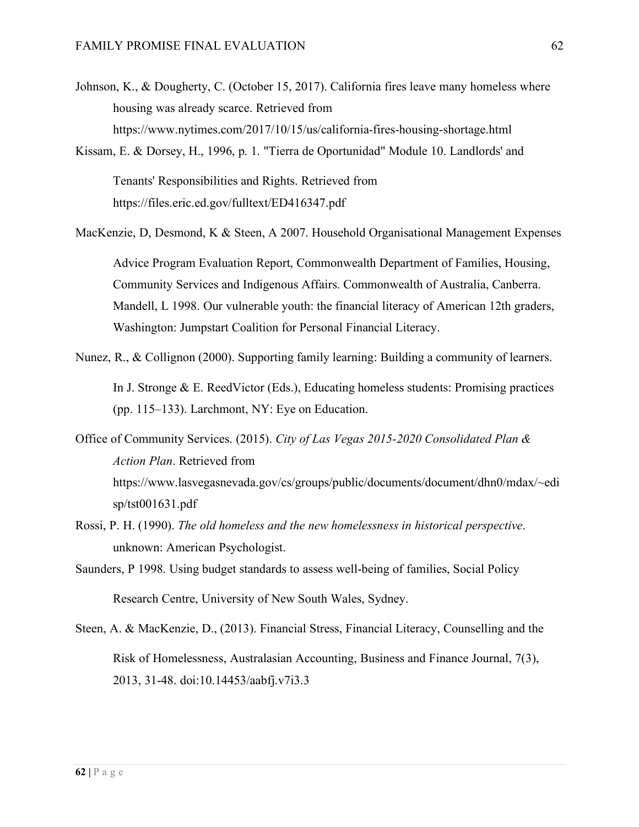- Johnson, K., & Dougherty, C. (October 15, 2017). California fires leave many homeless where housing was already scarce. Retrieved from https://www.nytimes.com/2017/10/15/us/california-fires-housing-shortage.html
- Kissam, E. & Dorsey, H., 1996, p. 1. "Tierra de Oportunidad" Module 10. Landlords' and

Tenants' Responsibilities and Rights. Retrieved from https://files.eric.ed.gov/fulltext/ED416347.pdf

MacKenzie, D, Desmond, K & Steen, A 2007. Household Organisational Management Expenses

Advice Program Evaluation Report, Commonwealth Department of Families, Housing, Community Services and Indigenous Affairs. Commonwealth of Australia, Canberra. Mandell, L 1998. Our vulnerable youth: the financial literacy of American 12th graders, Washington: Jumpstart Coalition for Personal Financial Literacy.

- Nunez, R., & Collignon (2000). Supporting family learning: Building a community of learners. In J. Stronge & E. ReedVictor (Eds.), Educating homeless students: Promising practices (pp. 115–133). Larchmont, NY: Eye on Education.
- Office of Community Services. (2015). *City of Las Vegas 2015-2020 Consolidated Plan & Action Plan*. Retrieved from https://www.lasvegasnevada.gov/cs/groups/public/documents/document/dhn0/mdax/~edi sp/tst001631.pdf
- Rossi, P. H. (1990). *The old homeless and the new homelessness in historical perspective*. unknown: American Psychologist.
- Saunders, P 1998. Using budget standards to assess well-being of families, Social Policy Research Centre, University of New South Wales, Sydney.
- Steen, A. & MacKenzie, D., (2013). Financial Stress, Financial Literacy, Counselling and the Risk of Homelessness, Australasian Accounting, Business and Finance Journal, 7(3), 2013, 31-48. doi:10.14453/aabfj.v7i3.3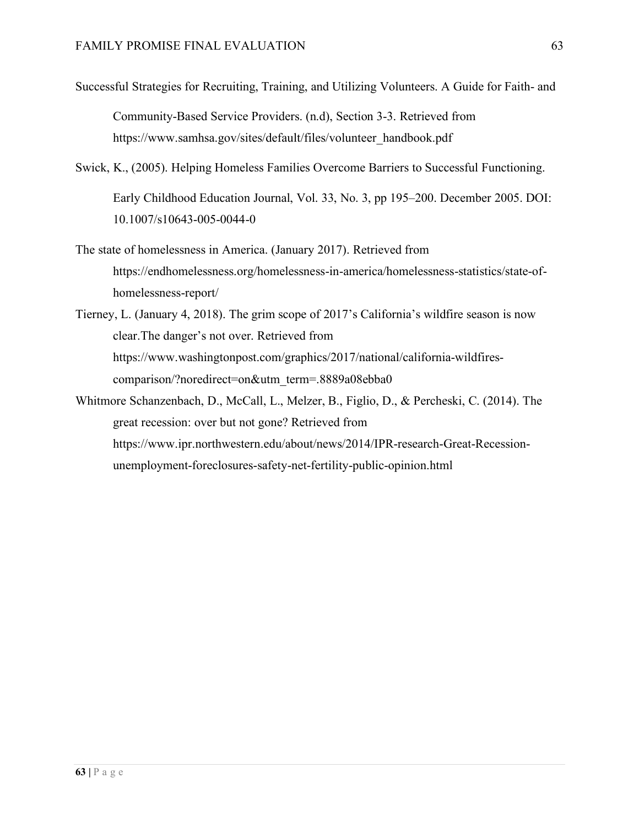- Successful Strategies for Recruiting, Training, and Utilizing Volunteers. A Guide for Faith- and Community-Based Service Providers. (n.d), Section 3-3. Retrieved from https://www.samhsa.gov/sites/default/files/volunteer\_handbook.pdf
- Swick, K., (2005). Helping Homeless Families Overcome Barriers to Successful Functioning. Early Childhood Education Journal, Vol. 33, No. 3, pp 195–200. December 2005. DOI: 10.1007/s10643-005-0044-0
- The state of homelessness in America. (January 2017). Retrieved from https://endhomelessness.org/homelessness-in-america/homelessness-statistics/state-ofhomelessness-report/
- Tierney, L. (January 4, 2018). The grim scope of 2017's California's wildfire season is now clear.The danger's not over. Retrieved from https://www.washingtonpost.com/graphics/2017/national/california-wildfirescomparison/?noredirect=on&utm\_term=.8889a08ebba0
- Whitmore Schanzenbach, D., McCall, L., Melzer, B., Figlio, D., & Percheski, C. (2014). The great recession: over but not gone? Retrieved from https://www.ipr.northwestern.edu/about/news/2014/IPR-research-Great-Recessionunemployment-foreclosures-safety-net-fertility-public-opinion.html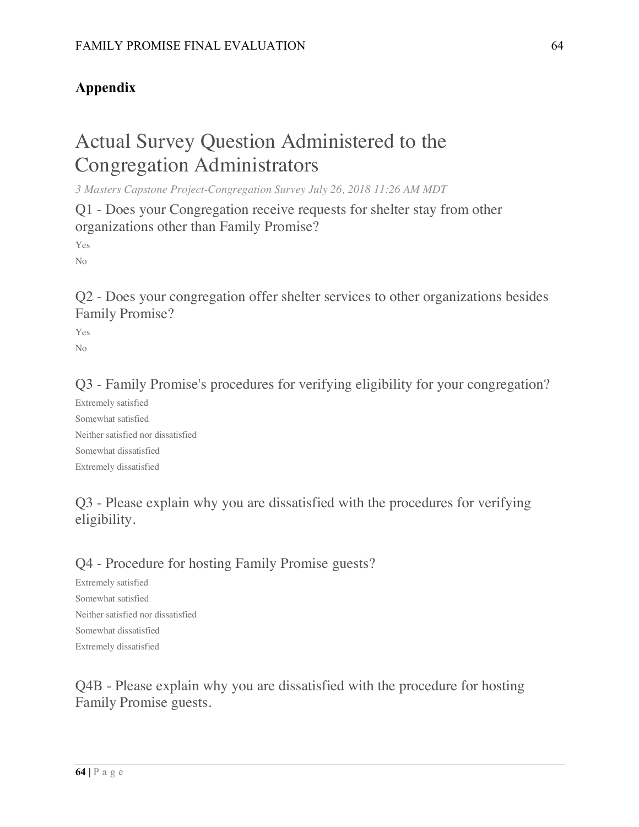# **Appendix**

# Actual Survey Question Administered to the Congregation Administrators

*3 Masters Capstone Project-Congregation Survey July 26, 2018 11:26 AM MDT*

Q1 - Does your Congregation receive requests for shelter stay from other organizations other than Family Promise?

Yes No

Q2 - Does your congregation offer shelter services to other organizations besides Family Promise?

Yes No

Q3 - Family Promise's procedures for verifying eligibility for your congregation?

Extremely satisfied Somewhat satisfied Neither satisfied nor dissatisfied Somewhat dissatisfied Extremely dissatisfied

# Q3 - Please explain why you are dissatisfied with the procedures for verifying eligibility.

## Q4 - Procedure for hosting Family Promise guests?

Extremely satisfied Somewhat satisfied Neither satisfied nor dissatisfied Somewhat dissatisfied Extremely dissatisfied

Q4B - Please explain why you are dissatisfied with the procedure for hosting Family Promise guests.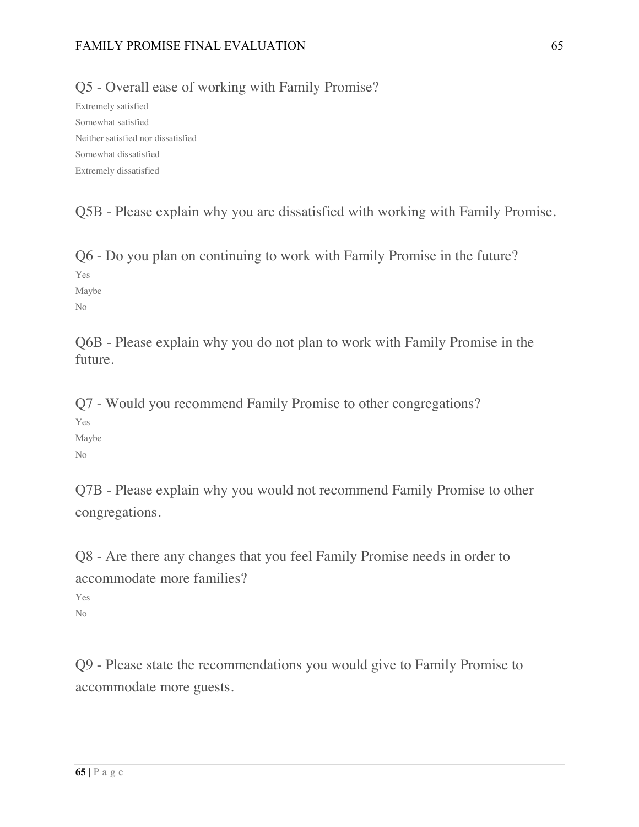### FAMILY PROMISE FINAL EVALUATION 65

Q5 - Overall ease of working with Family Promise?

Extremely satisfied Somewhat satisfied Neither satisfied nor dissatisfied Somewhat dissatisfied Extremely dissatisfied

Q5B - Please explain why you are dissatisfied with working with Family Promise.

Q6 - Do you plan on continuing to work with Family Promise in the future? Yes

Maybe No

Q6B - Please explain why you do not plan to work with Family Promise in the future.

Q7 - Would you recommend Family Promise to other congregations?

Yes Maybe No

Q7B - Please explain why you would not recommend Family Promise to other congregations.

Q8 - Are there any changes that you feel Family Promise needs in order to accommodate more families?

Yes No

Q9 - Please state the recommendations you would give to Family Promise to accommodate more guests.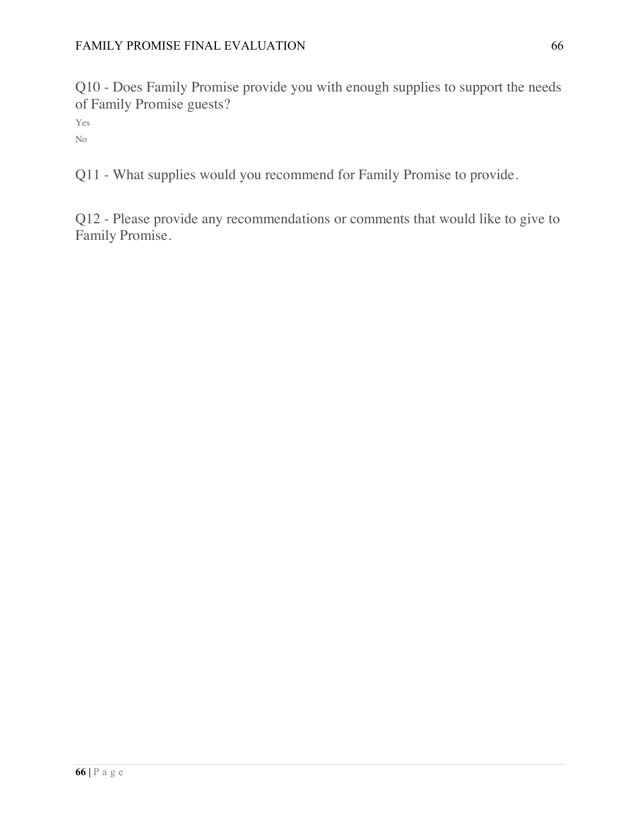Q10 - Does Family Promise provide you with enough supplies to support the needs of Family Promise guests?

Yes No

Q11 - What supplies would you recommend for Family Promise to provide.

Q12 - Please provide any recommendations or comments that would like to give to Family Promise.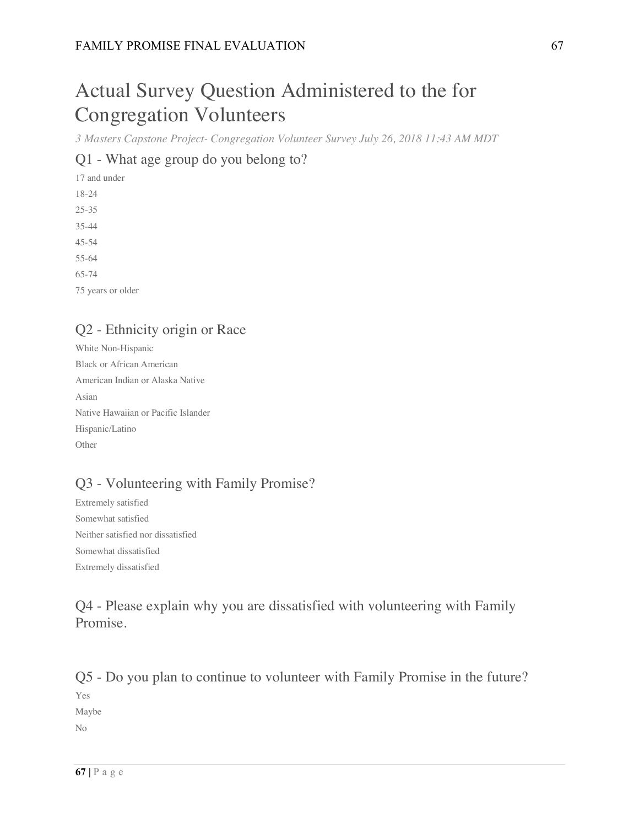# Actual Survey Question Administered to the for Congregation Volunteers

*3 Masters Capstone Project- Congregation Volunteer Survey July 26, 2018 11:43 AM MDT*

## Q1 - What age group do you belong to?

17 and under 18-24 25-35 35-44 45-54 55-64 65-74 75 years or older

# Q2 - Ethnicity origin or Race

White Non-Hispanic Black or African American American Indian or Alaska Native Asian Native Hawaiian or Pacific Islander Hispanic/Latino Other

# Q3 - Volunteering with Family Promise?

Extremely satisfied Somewhat satisfied Neither satisfied nor dissatisfied Somewhat dissatisfied Extremely dissatisfied

# Q4 - Please explain why you are dissatisfied with volunteering with Family Promise.

Q5 - Do you plan to continue to volunteer with Family Promise in the future? Yes Maybe No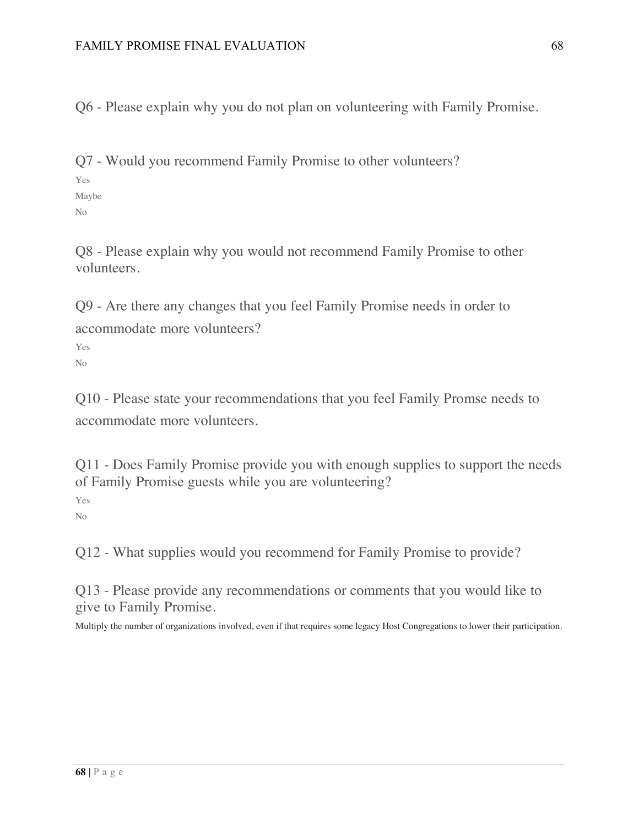Q6 - Please explain why you do not plan on volunteering with Family Promise.

Q7 - Would you recommend Family Promise to other volunteers? Yes

Maybe

No

Q8 - Please explain why you would not recommend Family Promise to other volunteers.

Q9 - Are there any changes that you feel Family Promise needs in order to accommodate more volunteers? Yes

No

Q10 - Please state your recommendations that you feel Family Promse needs to accommodate more volunteers.

Q11 - Does Family Promise provide you with enough supplies to support the needs of Family Promise guests while you are volunteering?

Yes No

Q12 - What supplies would you recommend for Family Promise to provide?

Q13 - Please provide any recommendations or comments that you would like to give to Family Promise.

Multiply the number of organizations involved, even if that requires some legacy Host Congregations to lower their participation.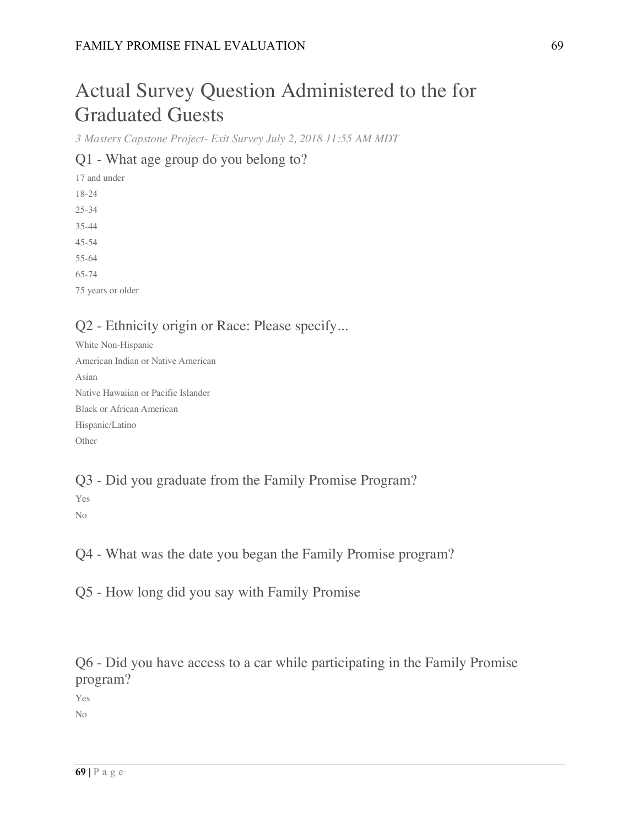# Actual Survey Question Administered to the for Graduated Guests

*3 Masters Capstone Project- Exit Survey July 2, 2018 11:55 AM MDT*

## Q1 - What age group do you belong to?

17 and under 18-24 25-34 35-44 45-54 55-64 65-74 75 years or older

# Q2 - Ethnicity origin or Race: Please specify...

White Non-Hispanic American Indian or Native American Asian Native Hawaiian or Pacific Islander Black or African American Hispanic/Latino Other

# Q3 - Did you graduate from the Family Promise Program?

Yes No

Q4 - What was the date you began the Family Promise program?

Q5 - How long did you say with Family Promise

Q6 - Did you have access to a car while participating in the Family Promise program?

Yes

No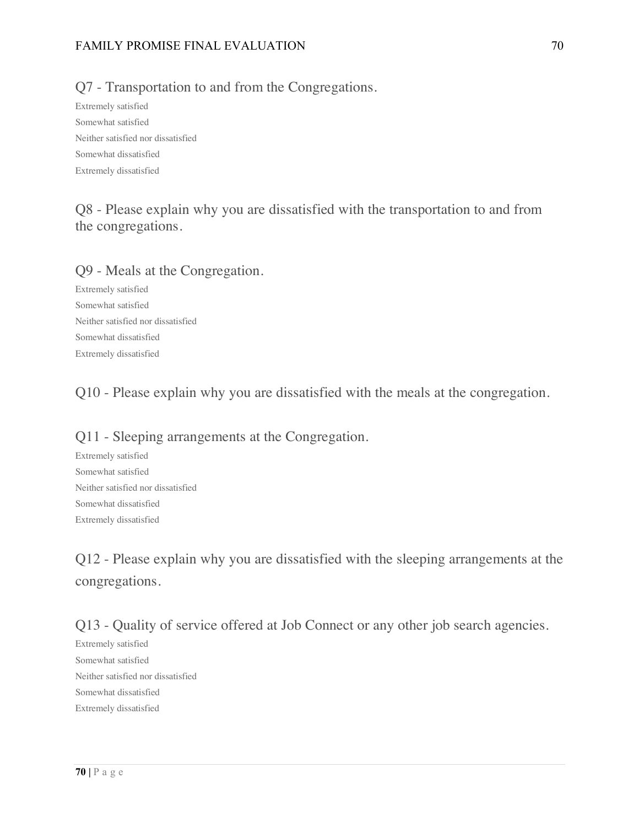### FAMILY PROMISE FINAL EVALUATION 70

## Q7 - Transportation to and from the Congregations.

Extremely satisfied Somewhat satisfied Neither satisfied nor dissatisfied Somewhat dissatisfied Extremely dissatisfied

# Q8 - Please explain why you are dissatisfied with the transportation to and from the congregations.

### Q9 - Meals at the Congregation.

Extremely satisfied Somewhat satisfied Neither satisfied nor dissatisfied Somewhat dissatisfied Extremely dissatisfied

Q10 - Please explain why you are dissatisfied with the meals at the congregation.

## Q11 - Sleeping arrangements at the Congregation.

Extremely satisfied Somewhat satisfied Neither satisfied nor dissatisfied Somewhat dissatisfied Extremely dissatisfied

Q12 - Please explain why you are dissatisfied with the sleeping arrangements at the congregations.

Q13 - Quality of service offered at Job Connect or any other job search agencies.

Extremely satisfied Somewhat satisfied Neither satisfied nor dissatisfied Somewhat dissatisfied Extremely dissatisfied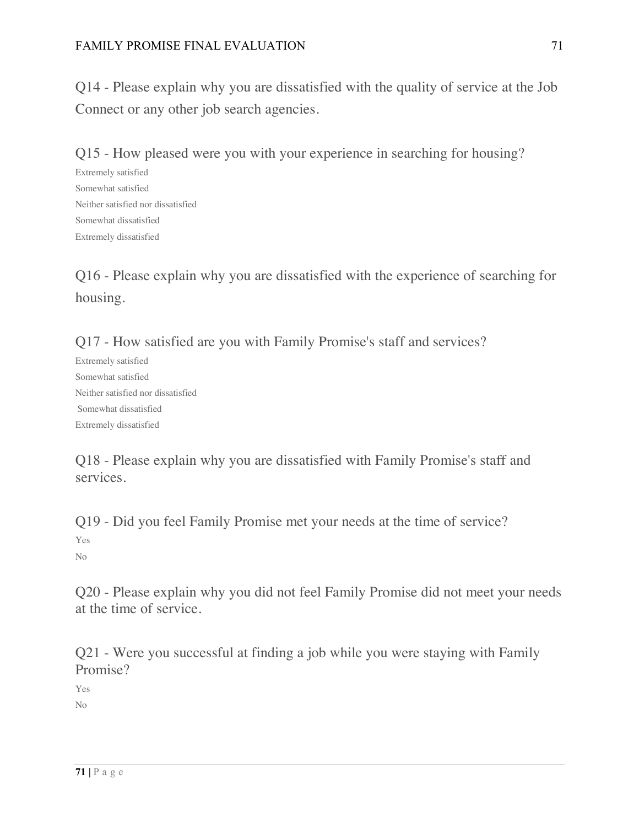Q14 - Please explain why you are dissatisfied with the quality of service at the Job Connect or any other job search agencies.

Q15 - How pleased were you with your experience in searching for housing?

Extremely satisfied Somewhat satisfied Neither satisfied nor dissatisfied Somewhat dissatisfied Extremely dissatisfied

Q16 - Please explain why you are dissatisfied with the experience of searching for housing.

Q17 - How satisfied are you with Family Promise's staff and services?

Extremely satisfied Somewhat satisfied Neither satisfied nor dissatisfied Somewhat dissatisfied Extremely dissatisfied

Q18 - Please explain why you are dissatisfied with Family Promise's staff and services.

Q19 - Did you feel Family Promise met your needs at the time of service? Yes No

Q20 - Please explain why you did not feel Family Promise did not meet your needs at the time of service.

Q21 - Were you successful at finding a job while you were staying with Family Promise?

Yes No